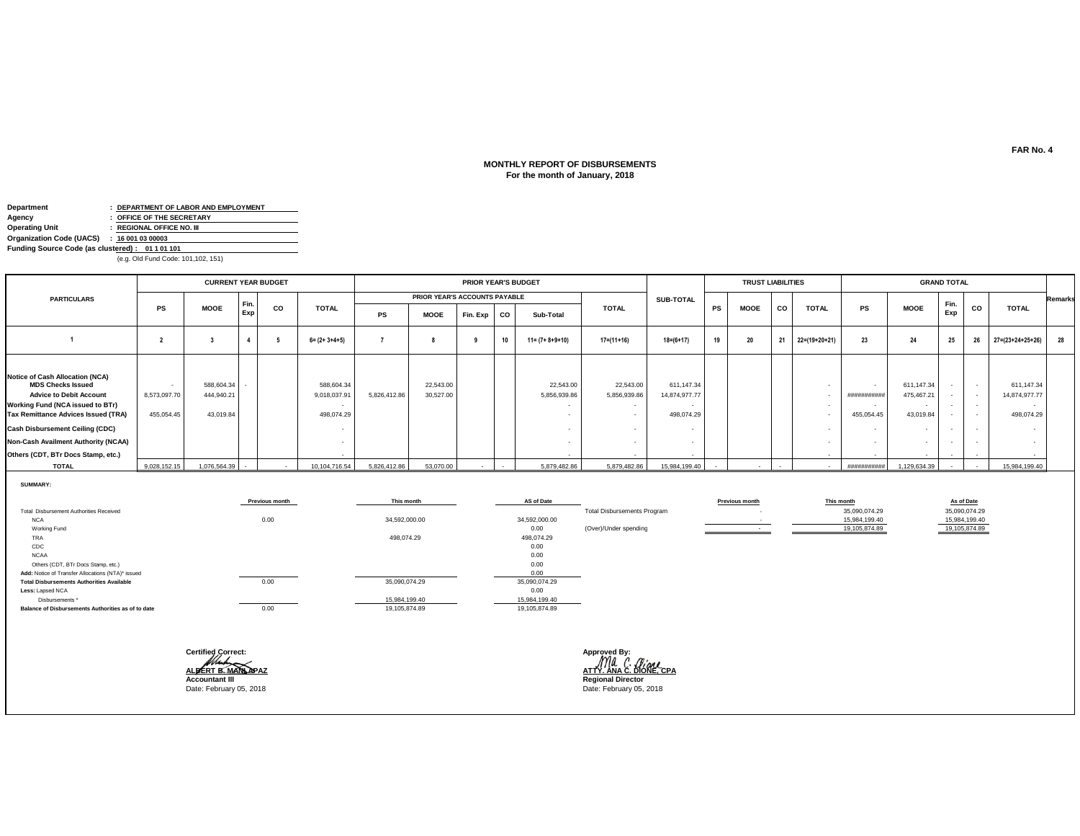# **MONTHLY REPORT OF DISBURSEMENTS For the month of January, 2018**

| Department                                      |                | : DEPARTMENT OF LABOR AND EMPLOYMENT |  |  |  |  |  |
|-------------------------------------------------|----------------|--------------------------------------|--|--|--|--|--|
| Agency                                          |                | : OFFICE OF THE SECRETARY            |  |  |  |  |  |
| <b>Operating Unit</b>                           |                | : REGIONAL OFFICE NO. III            |  |  |  |  |  |
| <b>Organization Code (UACS)</b>                 | : 160010300003 |                                      |  |  |  |  |  |
| Funding Source Code (as clustered): 01 1 01 101 |                |                                      |  |  |  |  |  |

(e.g. Old Fund Code: 101,102, 151)

|                                                                                                                                                                                                                                                                                                               |                                      | <b>CURRENT YEAR BUDGET</b>            |      |    |                                         |              | <b>PRIOR YEAR'S BUDGET</b>    |          |    |                           |                                               | <b>TRUST LIABILITIES</b>                            |    |             |           | <b>GRAND TOTAL</b> |                                     |                                                                     |                                                      |                                                |                                                                       |                |
|---------------------------------------------------------------------------------------------------------------------------------------------------------------------------------------------------------------------------------------------------------------------------------------------------------------|--------------------------------------|---------------------------------------|------|----|-----------------------------------------|--------------|-------------------------------|----------|----|---------------------------|-----------------------------------------------|-----------------------------------------------------|----|-------------|-----------|--------------------|-------------------------------------|---------------------------------------------------------------------|------------------------------------------------------|------------------------------------------------|-----------------------------------------------------------------------|----------------|
| <b>PARTICULARS</b>                                                                                                                                                                                                                                                                                            |                                      |                                       | Fin. |    |                                         |              | PRIOR YEAR'S ACCOUNTS PAYABLE |          |    |                           |                                               | <b>SUB-TOTAL</b>                                    |    |             |           |                    |                                     |                                                                     |                                                      |                                                |                                                                       | <b>Remarks</b> |
|                                                                                                                                                                                                                                                                                                               | PS                                   | <b>MOOE</b>                           | Exp  | CO | <b>TOTAL</b>                            | PS           | <b>MOOE</b>                   | Fin. Exp | CO | Sub-Total                 | <b>TOTAL</b>                                  | PS                                                  |    | <b>MOOE</b> | <b>CO</b> | <b>TOTAL</b>       | PS                                  | <b>MOOE</b>                                                         | Fin.<br>Exp                                          | CO                                             | <b>TOTAL</b>                                                          |                |
|                                                                                                                                                                                                                                                                                                               |                                      |                                       |      |    | $6 = (2 + 3 + 4 + 5)$                   |              |                               |          | 10 | $11 = (7 + 8 + 9 + 10)$   | $17 = (11 + 16)$                              | $18 = (6 + 17)$                                     | 19 | 20          | 21        | $22=(19+20+21)$    | 23                                  | 24                                                                  | 25                                                   | 26                                             | 27=(23+24+25+26)                                                      | 28             |
| <b>Notice of Cash Allocation (NCA)</b><br><b>MDS Checks Issued</b><br><b>Advice to Debit Account</b><br><b>Working Fund (NCA issued to BTr)</b><br>Tax Remittance Advices Issued (TRA)<br><b>Cash Disbursement Ceiling (CDC)</b><br>Non-Cash Availment Authority (NCAA)<br>Others (CDT, BTr Docs Stamp, etc.) | $\sim$<br>8,573,097.70<br>455,054.45 | 588,604.34<br>444.940.21<br>43,019.84 |      |    | 588,604.34<br>9,018,037.9<br>498,074.29 | 5,826,412.86 | 22,543.00<br>30,527.00        |          |    | 22,543.00<br>5,856,939.86 | 22,543.00<br>5,856,939.86<br>$\sim$<br>$\sim$ | 611,147.34<br>14,874,977.77<br>498,074.29<br>$\sim$ |    |             |           |                    | $\sim$<br>###########<br>455,054.45 | 611,147.34<br>475,467.21<br>43,019.84<br>$\sim$<br>$\sim$<br>$\sim$ | $\overline{\phantom{a}}$<br>$\overline{\phantom{a}}$ | $\sim$ 100 $\mu$<br>$\sim$<br>$\sim$<br>$\sim$ | 611,147.34<br>14,874,977.77<br>$\overline{\phantom{a}}$<br>498,074.29 |                |
| <b>TOTAL</b>                                                                                                                                                                                                                                                                                                  | 9,028,152.15                         | 1,076,564.39                          |      |    | 10,104,716.54                           | 5,826,412.86 | 53,070.00                     |          |    | 5,879,482.86              | 5,879,482.86                                  | 15,984,199.40                                       |    |             |           | $\sim$             | ###########                         | 1,129,634.39                                                        |                                                      |                                                | 15,984,199.40                                                         |                |

**SUMMARY:**

|                                                    | Previous month | This month    | AS of Date    |                                    | Previous month | This month    | As of Date    |
|----------------------------------------------------|----------------|---------------|---------------|------------------------------------|----------------|---------------|---------------|
| Total Disbursement Authorities Received            |                |               |               | <b>Total Disbursements Program</b> |                | 35,090,074.29 | 35,090,074.29 |
| <b>NCA</b>                                         | 0.00           | 34,592,000.00 | 34,592,000.00 |                                    |                | 15,984,199.40 | 15,984,199.40 |
| Working Fund                                       |                |               | 0.00          | (Over)/Under spending              |                | 19,105,874.89 | 19,105,874.89 |
| TRA                                                |                | 498,074.29    | 498,074.29    |                                    |                |               |               |
| CDC                                                |                |               | 0.00          |                                    |                |               |               |
| <b>NCAA</b>                                        |                |               | 0.00          |                                    |                |               |               |
| Others (CDT, BTr Docs Stamp, etc.)                 |                |               | 0.00          |                                    |                |               |               |
| Add: Notice of Transfer Allocations (NTA)* issued  |                |               | 0.00          |                                    |                |               |               |
| <b>Total Disbursements Authorities Available</b>   | 0.00           | 35,090,074.29 | 35,090,074.29 |                                    |                |               |               |
| Less: Lapsed NCA                                   |                |               | 0.00          |                                    |                |               |               |
| Disbursements *                                    |                | 15,984,199.40 | 15,984,199.40 |                                    |                |               |               |
| Balance of Disbursements Authorities as of to date | 0.00           | 19,105,874.89 | 19,105,874.89 |                                    |                |               |               |

| <b>Certified Correct:</b> | Approved By:                                  |
|---------------------------|-----------------------------------------------|
| ALBERT B. MAN APAZ        | Ma C. <i>Giane</i><br>ATTY, ANA C. DIONE, CPA |
| <b>Accountant III</b>     | <b>Regional Director</b>                      |
| Date: February 05, 2018   | Date: February 05, 2018                       |
|                           |                                               |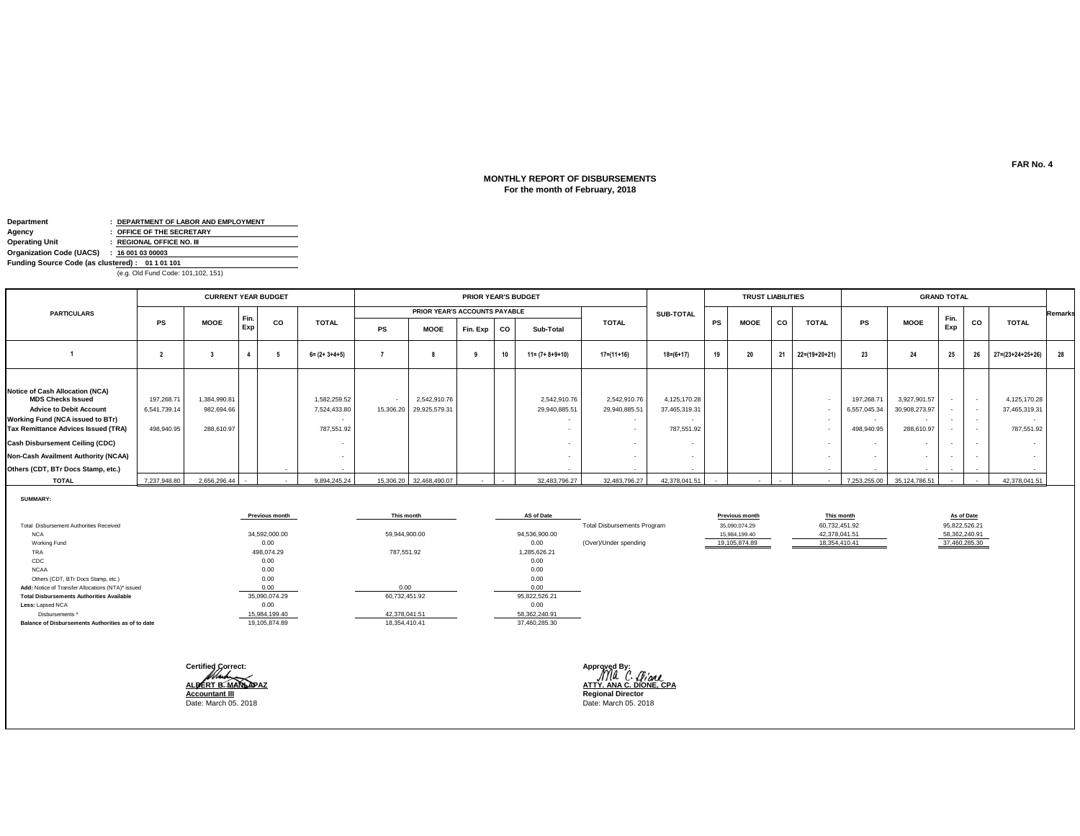### **For the month of February, 2018 MONTHLY REPORT OF DISBURSEMENTS**

| Department                                      |  | : DEPARTMENT OF LABOR AND EMPLOYMENT |  |  |  |  |
|-------------------------------------------------|--|--------------------------------------|--|--|--|--|
| Agency                                          |  | : OFFICE OF THE SECRETARY            |  |  |  |  |
| <b>Operating Unit</b>                           |  | : REGIONAL OFFICE NO. III            |  |  |  |  |
| Organization Code (UACS)                        |  | : 160010300003                       |  |  |  |  |
| Funding Source Code (as clustered): 01 1 01 101 |  |                                      |  |  |  |  |
| (e.g. Old Fund Code: 101,102, 151)              |  |                                      |  |  |  |  |

|                                                                                                                                                                                                                                                                                                 |                                          | <b>CURRENT YEAR BUDGET</b>               |             |    |                                            |    | <b>PRIOR YEAR'S BUDGET</b>              |          |    |                               | <b>TRUST LIABILITIES</b>      |                                             |    | <b>GRAND TOTAL</b> |    |               |                                          |                                                                                             |                                                                                            |                  |                                                                 |                |
|-------------------------------------------------------------------------------------------------------------------------------------------------------------------------------------------------------------------------------------------------------------------------------------------------|------------------------------------------|------------------------------------------|-------------|----|--------------------------------------------|----|-----------------------------------------|----------|----|-------------------------------|-------------------------------|---------------------------------------------|----|--------------------|----|---------------|------------------------------------------|---------------------------------------------------------------------------------------------|--------------------------------------------------------------------------------------------|------------------|-----------------------------------------------------------------|----------------|
| <b>PARTICULARS</b>                                                                                                                                                                                                                                                                              |                                          |                                          |             |    |                                            |    | PRIOR YEAR'S ACCOUNTS PAYABLE           |          |    |                               |                               | <b>SUB-TOTAL</b>                            |    |                    |    |               |                                          |                                                                                             |                                                                                            |                  |                                                                 | <b>Remarks</b> |
|                                                                                                                                                                                                                                                                                                 | PS                                       | <b>MOOE</b>                              | Fin.<br>Exp | CO | <b>TOTAL</b>                               | PS | <b>MOOE</b>                             | Fin. Exp | co | Sub-Total                     | <b>TOTAL</b>                  |                                             | PS | <b>MOOE</b>        | CO | <b>TOTAL</b>  | <b>PS</b>                                | <b>MOOE</b>                                                                                 | Fin.<br>Exp                                                                                | CO               | <b>TOTAL</b>                                                    |                |
|                                                                                                                                                                                                                                                                                                 |                                          |                                          |             |    | $6 = (2 + 3 + 4 + 5)$                      |    |                                         |          | 10 | $11 = (7 + 8 + 9 + 10)$       | $17 = (11 + 16)$              | $18 = (6 + 17)$                             | 19 | 20                 | 21 | 22=(19+20+21) | 23                                       | 24                                                                                          | 25                                                                                         | 26               | $27 = (23 + 24 + 25 + 26)$                                      | 28             |
| Notice of Cash Allocation (NCA)<br><b>MDS Checks Issued</b><br><b>Advice to Debit Account</b><br>Working Fund (NCA issued to BTr)<br>Tax Remittance Advices Issued (TRA)<br><b>Cash Disbursement Ceiling (CDC)</b><br>Non-Cash Availment Authority (NCAA)<br>Others (CDT, BTr Docs Stamp, etc.) | 197,268.71<br>6,541,739.14<br>498,940.95 | 1,384,990.81<br>982,694.66<br>288,610.97 |             |    | 1,582,259.52<br>7,524,433.80<br>787,551.92 |    | 2,542,910.76<br>15,306.20 29,925,579.31 |          |    | 2,542,910.76<br>29,940,885.51 | 2,542,910.76<br>29,940,885.51 | 4,125,170.28<br>37,465,319.31<br>787,551.92 |    |                    |    |               | 197,268.71<br>6,557,045.34<br>498,940.95 | 3,927,901.57<br>30,908,273.97<br>$\sim$<br>288,610.97<br>$\overline{\phantom{a}}$<br>$\sim$ | $\overline{\phantom{a}}$<br>$\overline{\phantom{a}}$<br>$\sim$<br>$\overline{\phantom{a}}$ | $\sim$<br>$\sim$ | 4,125,170.28<br>37,465,319.31<br>$\sim$<br>787,551.92<br>$\sim$ |                |
| <b>TOTAL</b>                                                                                                                                                                                                                                                                                    | 7,237,948.80                             | 2,656,296.44                             |             |    | 9,894,245.24                               |    | 15,306.20 32,468,490.07                 |          |    | 32,483,796.27                 | 32,483,796.27                 | 42,378,041.51                               |    |                    |    |               | 7,253,255.00                             | 35.124.786.51                                                                               |                                                                                            |                  | 42,378,041.51                                                   |                |

**SUMMARY:**

|                                                    | <b>Previous month</b> | This month    | AS of Date    |                                    | <b>Previous month</b> | This month    | As of Date    |
|----------------------------------------------------|-----------------------|---------------|---------------|------------------------------------|-----------------------|---------------|---------------|
| Total Disbursement Authorities Received            |                       |               |               | <b>Total Disbursements Program</b> | 35,090,074.29         | 60,732,451.92 | 95,822,526.21 |
| <b>NCA</b>                                         | 34,592,000.00         | 59,944,900.00 | 94,536,900.00 |                                    | 15,984,199.40         | 42,378,041.51 | 58,362,240.91 |
| Working Fund                                       | 0.00                  |               | 0.00          | (Over)/Under spending              | 19,105,874.89         | 18,354,410.41 | 37,460,285.30 |
| TRA                                                | 498,074.29            | 787,551.92    | 1,285,626.21  |                                    |                       |               |               |
| CDC                                                | 0.00                  |               | 0.00          |                                    |                       |               |               |
| <b>NCAA</b>                                        | 0.00                  |               | 0.00          |                                    |                       |               |               |
| Others (CDT, BTr Docs Stamp, etc.)                 | 0.00                  |               | 0.00          |                                    |                       |               |               |
| Add: Notice of Transfer Allocations (NTA)* issued  | 0.00                  |               | 0.00          |                                    |                       |               |               |
| <b>Total Disbursements Authorities Available</b>   | 35,090,074.29         | 60,732,451.92 | 95,822,526.21 |                                    |                       |               |               |
| Less: Lapsed NCA                                   | 0.00                  |               | 0.00          |                                    |                       |               |               |
| Disbursements *                                    | 15,984,199.40         | 42,378,041.51 | 58,362,240.91 |                                    |                       |               |               |
| Balance of Disbursements Authorities as of to date | 19,105,874.89         | 18,354,410.41 | 37,460,285.30 |                                    |                       |               |               |
|                                                    |                       |               |               |                                    |                       |               |               |



**ALBERT B. MANLAPAZ ATTY. ANA C. DIONE, CPA**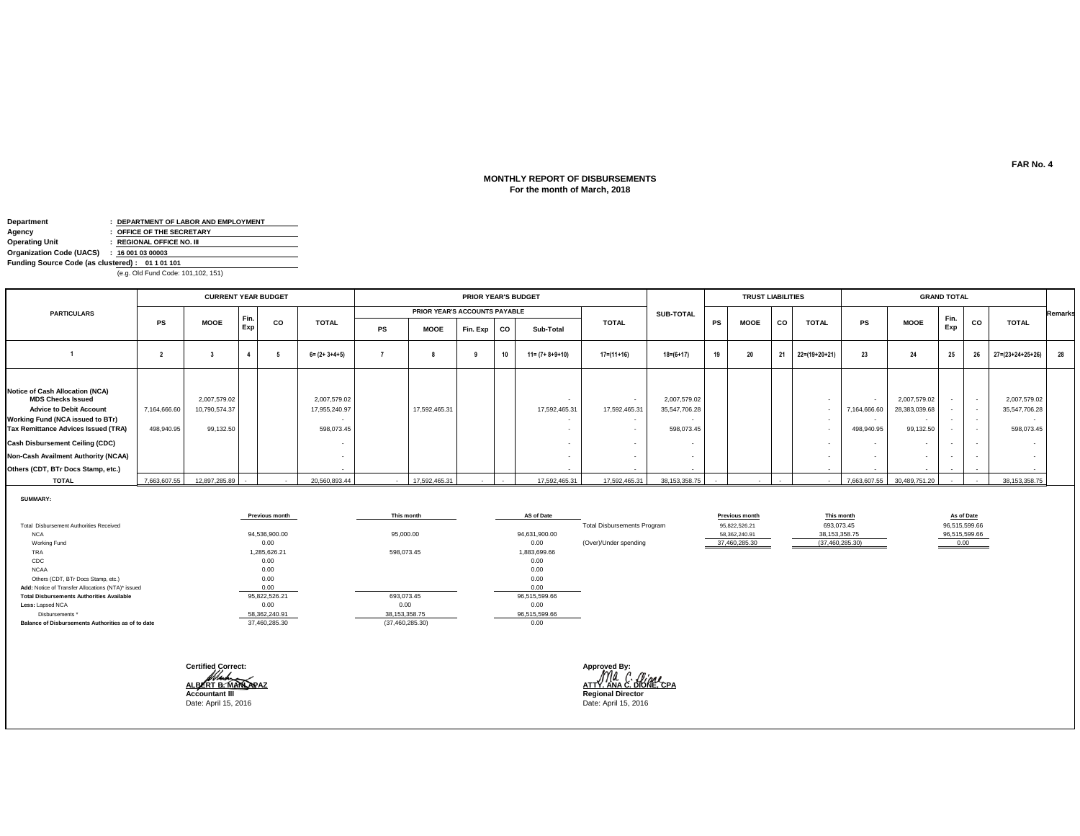### **For the month of March, 2018 MONTHLY REPORT OF DISBURSEMENTS**

| Department                                      |  | : DEPARTMENT OF LABOR AND EMPLOYMENT |  |  |  |  |
|-------------------------------------------------|--|--------------------------------------|--|--|--|--|
| Agency                                          |  | : OFFICE OF THE SECRETARY            |  |  |  |  |
| <b>Operating Unit</b>                           |  | : REGIONAL OFFICE NO. III            |  |  |  |  |
| Organization Code (UACS)                        |  | : 160010300003                       |  |  |  |  |
| Funding Source Code (as clustered): 01 1 01 101 |  |                                      |  |  |  |  |
| (e.g. Old Fund Code: 101,102, 151)              |  |                                      |  |  |  |  |

|                                                                                                                                                                                                                                                                                                        |                            | <b>CURRENT YEAR BUDGET</b>                 |             |    |                                             |    | <b>PRIOR YEAR'S BUDGET</b>    |          |           |                                           |                  |                                             |    | <b>TRUST LIABILITIES</b> |           |               | <b>GRAND TOTAL</b>         |                                                                                            |                                                                |                                |                                                       |                |
|--------------------------------------------------------------------------------------------------------------------------------------------------------------------------------------------------------------------------------------------------------------------------------------------------------|----------------------------|--------------------------------------------|-------------|----|---------------------------------------------|----|-------------------------------|----------|-----------|-------------------------------------------|------------------|---------------------------------------------|----|--------------------------|-----------|---------------|----------------------------|--------------------------------------------------------------------------------------------|----------------------------------------------------------------|--------------------------------|-------------------------------------------------------|----------------|
| <b>PARTICULARS</b>                                                                                                                                                                                                                                                                                     |                            |                                            |             |    |                                             |    | PRIOR YEAR'S ACCOUNTS PAYABLE |          |           |                                           |                  | <b>SUB-TOTAL</b>                            |    |                          |           |               |                            |                                                                                            |                                                                |                                |                                                       | <b>Remarks</b> |
|                                                                                                                                                                                                                                                                                                        | PS                         | <b>MOOE</b>                                | Fin.<br>Exp | co | <b>TOTAL</b>                                | PS | <b>MOOE</b>                   | Fin. Exp | <b>CO</b> | Sub-Total                                 | <b>TOTAL</b>     |                                             | PS | <b>MOOE</b>              | <b>CO</b> | <b>TOTAL</b>  | PS                         | <b>MOOE</b>                                                                                | Fin.<br>Exp                                                    | CO                             | <b>TOTAL</b>                                          |                |
|                                                                                                                                                                                                                                                                                                        |                            |                                            |             |    | $6 = (2 + 3 + 4 + 5)$                       |    |                               |          | 10        | $11 = (7 + 8 + 9 + 10)$                   | $17 = (11 + 16)$ | $18 = (6 + 17)$                             | 19 | 20                       | 21        | 22=(19+20+21) | 23                         | 24                                                                                         | 25                                                             | 26                             | $27 = (23 + 24 + 25 + 26)$                            | 28             |
| <b>Notice of Cash Allocation (NCA)</b><br><b>MDS Checks Issued</b><br><b>Advice to Debit Account</b><br>Working Fund (NCA issued to BTr)<br>Tax Remittance Advices Issued (TRA)<br><b>Cash Disbursement Ceiling (CDC)</b><br>Non-Cash Availment Authority (NCAA)<br>Others (CDT, BTr Docs Stamp, etc.) | 7,164,666.60<br>498,940.95 | 2,007,579.02<br>10,790,574.37<br>99,132.50 |             |    | 2,007,579.02<br>17,955,240.97<br>598,073.45 |    | 17,592,465.31                 |          |           | $\overline{\phantom{a}}$<br>17,592,465.31 | 17,592,465.31    | 2,007,579.02<br>35,547,706.28<br>598,073.45 |    |                          |           |               | 7,164,666.60<br>498,940.95 | 2,007,579.02<br>28,383,039.68<br>$\overline{\phantom{a}}$<br>99,132.50<br>$\sim$<br>$\sim$ | $\overline{\phantom{a}}$<br>$\sim$<br>$\overline{\phantom{a}}$ | $\sim$ $-$<br>$\sim$<br>$\sim$ | 2,007,579.02<br>35,547,706.28<br>$\sim$<br>598,073.45 |                |
| <b>TOTAL</b>                                                                                                                                                                                                                                                                                           | 7,663,607.55               | 12,897,285.89                              |             |    | 20,560,893.44                               |    | 17,592,465.31                 |          |           | 17,592,465.31                             | 17,592,465.31    | 38,153,358.75                               |    |                          |           |               | 7,663,607.55               | 30,489,751.20                                                                              |                                                                |                                | 38, 153, 358. 75                                      |                |

**SUMMARY:**

|                                                    | <b>Previous month</b> | This month        | AS of Date    |                                    | Previous month | This month        | As of Date    |
|----------------------------------------------------|-----------------------|-------------------|---------------|------------------------------------|----------------|-------------------|---------------|
| Total Disbursement Authorities Received            |                       |                   |               | <b>Total Disbursements Program</b> | 95,822,526.21  | 693,073.45        | 96,515,599.66 |
| <b>NCA</b>                                         | 94,536,900.00         | 95,000.00         | 94,631,900.00 |                                    | 58.362.240.91  | 38, 153, 358. 75  | 96,515,599.66 |
| Working Fund                                       | 0.00                  |                   | 0.00          | (Over)/Under spending              | 37,460,285.30  | (37, 460, 285.30) | 0.00          |
| TRA                                                | 1,285,626.21          | 598,073.45        | 1,883,699.66  |                                    |                |                   |               |
| CDC                                                | 0.00                  |                   | 0.00          |                                    |                |                   |               |
| <b>NCAA</b>                                        | 0.00                  |                   | 0.00          |                                    |                |                   |               |
| Others (CDT, BTr Docs Stamp, etc.)                 | 0.00                  |                   | 0.00          |                                    |                |                   |               |
| Add: Notice of Transfer Allocations (NTA)* issued  | 0.00                  |                   | 0.00          |                                    |                |                   |               |
| <b>Total Disbursements Authorities Available</b>   | 95,822,526.21         | 693,073.45        | 96,515,599.66 |                                    |                |                   |               |
| Less: Lapsed NCA                                   | 0.00                  | 0.00              | 0.00          |                                    |                |                   |               |
| Disbursements *                                    | 58,362,240.91         | 38, 153, 358.75   | 96,515,599.66 |                                    |                |                   |               |
| Balance of Disbursements Authorities as of to date | 37,460,285.30         | (37, 460, 285.30) | 0.00          |                                    |                |                   |               |
|                                                    |                       |                   |               |                                    |                |                   |               |

| <b>Certified Correct:</b> | Approved By:             |
|---------------------------|--------------------------|
| ALBERT B. MANUARAZ        | ATTY ANA C. OG           |
|                           |                          |
| <b>Accountant III</b>     | <b>Regional Director</b> |
| Date: April 15, 2016      | Date: April 15, 2016     |

**ALBERT B. MANLAPAZ ATTY. ANA C. DIONE, CPA**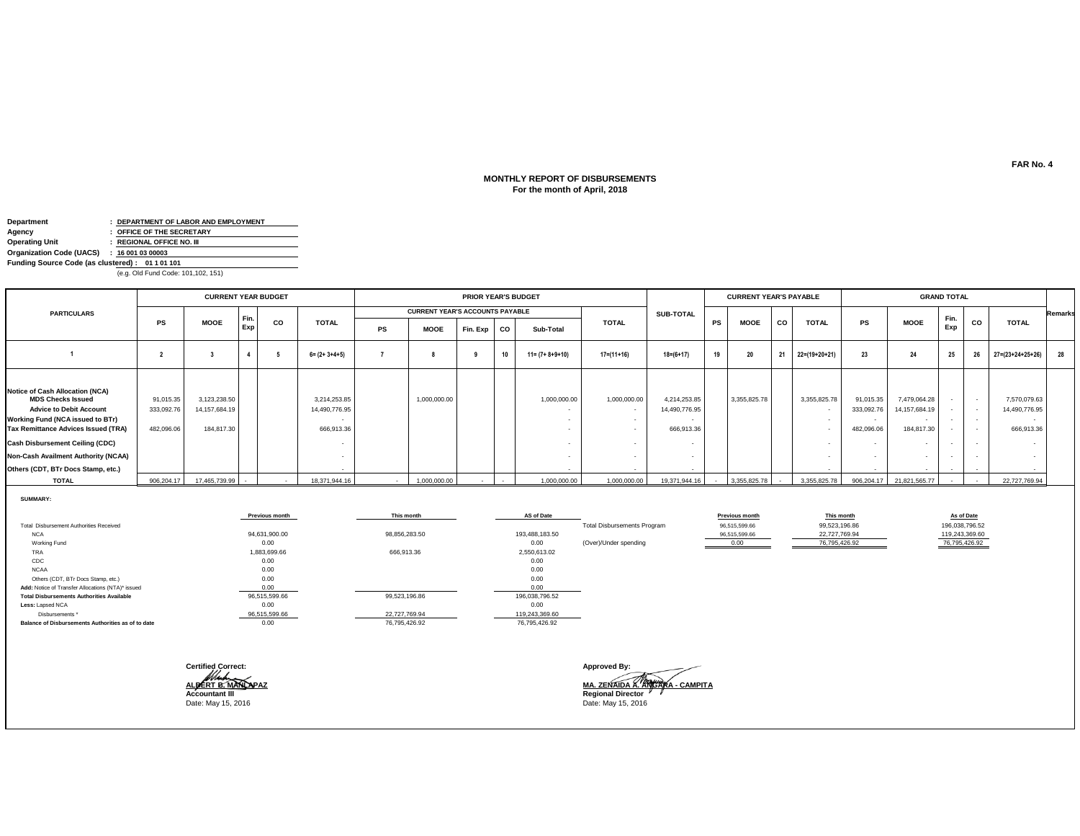# **MONTHLY REPORT OF DISBURSEMENTS For the month of April, 2018**

| Department                                      |  | : DEPARTMENT OF LABOR AND EMPLOYMENT |  |  |  |  |  |
|-------------------------------------------------|--|--------------------------------------|--|--|--|--|--|
| Agency                                          |  | : OFFICE OF THE SECRETARY            |  |  |  |  |  |
| <b>Operating Unit</b>                           |  | : REGIONAL OFFICE NO. III            |  |  |  |  |  |
| Organization Code (UACS) : 16 001 03 00003      |  |                                      |  |  |  |  |  |
| Funding Source Code (as clustered): 01 1 01 101 |  |                                      |  |  |  |  |  |
| (e.g. Old Fund Code: 101,102, 151)              |  |                                      |  |  |  |  |  |

|                                                                                                                                                                                                                                                                                                        |                                      | <b>CURRENT YEAR BUDGET</b>                     |               |    |                                             | <b>PRIOR YEAR'S BUDGET</b> |                                        |          |    |                         |                  |                                             |        | <b>CURRENT YEAR'S PAYABLE</b> |           |                 | <b>GRAND TOTAL</b>                    |                                                                                                     |                                    |                  |                                                                         |                |
|--------------------------------------------------------------------------------------------------------------------------------------------------------------------------------------------------------------------------------------------------------------------------------------------------------|--------------------------------------|------------------------------------------------|---------------|----|---------------------------------------------|----------------------------|----------------------------------------|----------|----|-------------------------|------------------|---------------------------------------------|--------|-------------------------------|-----------|-----------------|---------------------------------------|-----------------------------------------------------------------------------------------------------|------------------------------------|------------------|-------------------------------------------------------------------------|----------------|
| <b>PARTICULARS</b>                                                                                                                                                                                                                                                                                     |                                      |                                                |               |    |                                             |                            | <b>CURRENT YEAR'S ACCOUNTS PAYABLE</b> |          |    |                         |                  | <b>SUB-TOTAL</b>                            |        |                               |           |                 |                                       |                                                                                                     |                                    |                  |                                                                         | <b>Remarks</b> |
|                                                                                                                                                                                                                                                                                                        | PS                                   | <b>MOOE</b>                                    | I Fin.<br>Exp | CO | <b>TOTAL</b>                                | PS                         | <b>MOOE</b>                            | Fin. Exp | co | Sub-Total               | <b>TOTAL</b>     |                                             | PS     | <b>MOOE</b>                   | <b>CO</b> | <b>TOTAL</b>    | PS                                    | <b>MOOE</b>                                                                                         | Fin.<br>Exp                        | CO               | <b>TOTAL</b>                                                            |                |
|                                                                                                                                                                                                                                                                                                        |                                      |                                                |               |    | $6 = (2 + 3 + 4 + 5)$                       |                            |                                        |          | 10 | $11 = (7 + 8 + 9 + 10)$ | $17 = (11 + 16)$ | $18 = (6 + 17)$                             | 19     | 20                            | 21        | $22=(19+20+21)$ | 23                                    | 24                                                                                                  | 25                                 | 26               | 27=(23+24+25+26)                                                        | 28             |
| <b>Notice of Cash Allocation (NCA)</b><br><b>MDS Checks Issued</b><br><b>Advice to Debit Account</b><br>Working Fund (NCA issued to BTr)<br>Tax Remittance Advices Issued (TRA)<br><b>Cash Disbursement Ceiling (CDC)</b><br>Non-Cash Availment Authority (NCAA)<br>Others (CDT, BTr Docs Stamp, etc.) | 91,015.35<br>333,092.7<br>482,096.06 | 3,123,238.50<br>14, 157, 684. 19<br>184,817.30 |               |    | 3,214,253.85<br>14,490,776.95<br>666,913.36 |                            | 1,000,000.00                           |          |    | 1,000,000.00            | 1,000,000.00     | 4,214,253.85<br>14,490,776.95<br>666,913.36 |        | 3,355,825.78                  |           | 3,355,825.78    | 91,015.35<br>333,092.76<br>482,096.06 | 7,479,064.28<br>14,157,684.19<br>$\overline{\phantom{a}}$<br>184,817.30<br>$\overline{\phantom{a}}$ | $\overline{\phantom{a}}$<br>$\sim$ | $\sim$<br>$\sim$ | 7,570,079.63<br>14,490,776.95<br>$\overline{\phantom{a}}$<br>666,913.36 |                |
| <b>TOTAL</b>                                                                                                                                                                                                                                                                                           | 906.204.17                           | 17.465.739.99                                  |               |    | 18.371.944.16                               |                            | 1.000.000.00                           |          |    | 1,000,000.00            | 1,000,000.00     | 19.371.944.16                               | $\sim$ | 3.355.825.78                  |           |                 |                                       | 3.355.825.78 906.204.17 21.821.565.77                                                               |                                    |                  | 22.727.769.94                                                           |                |

**SUMMARY:**

|                                                    | Previous month | This month    | AS of Date     |                                    | <b>Previous month</b> | This month    | As of Date     |
|----------------------------------------------------|----------------|---------------|----------------|------------------------------------|-----------------------|---------------|----------------|
| Total Disbursement Authorities Received            |                |               |                | <b>Total Disbursements Program</b> | 96,515,599.66         | 99,523,196.86 | 196,038,796.52 |
| <b>NCA</b>                                         | 94,631,900.00  | 98,856,283.50 | 193,488,183.50 |                                    | 96,515,599.66         | 22,727,769.94 | 119,243,369.60 |
| Working Fund                                       | 0.00           |               | 0.00           | (Over)/Under spending              | 0.00                  | 76,795,426.92 | 76,795,426.92  |
| TRA                                                | 1,883,699.66   | 666,913.36    | 2,550,613.02   |                                    |                       |               |                |
| CDC                                                | 0.00           |               | 0.00           |                                    |                       |               |                |
| <b>NCAA</b>                                        | 0.00           |               | 0.00           |                                    |                       |               |                |
| Others (CDT, BTr Docs Stamp, etc.)                 | 0.00           |               | 0.00           |                                    |                       |               |                |
| Add: Notice of Transfer Allocations (NTA)* issued  | 0.00           |               | 0.00           |                                    |                       |               |                |
| <b>Total Disbursements Authorities Available</b>   | 96,515,599.66  | 99,523,196.86 | 196,038,796.52 |                                    |                       |               |                |
| Less: Lapsed NCA                                   | 0.00           |               | 0.00           |                                    |                       |               |                |
| Disbursements *                                    | 96,515,599.66  | 22,727,769.94 | 119,243,369.60 |                                    |                       |               |                |
| Balance of Disbursements Authorities as of to date | 0.00           | 76,795,426.92 | 76,795,426.92  |                                    |                       |               |                |
|                                                    |                |               |                |                                    |                       |               |                |

| ALBERT B. MANLAPAZ | <b>Accountant III</b> | <b>Certified Correct:</b> |  |
|--------------------|-----------------------|---------------------------|--|
|                    |                       |                           |  |
|                    |                       |                           |  |
|                    |                       |                           |  |

**Approved By: ALBERT B<u>. MANLAPAZ</u><br>Accountant III**<br>Date: May 15, 2016 Date: May 15, 2016 Date: May 15, 2016 Date: May 15, 2016 Date: May 15, 2016 Date: May 15, 2016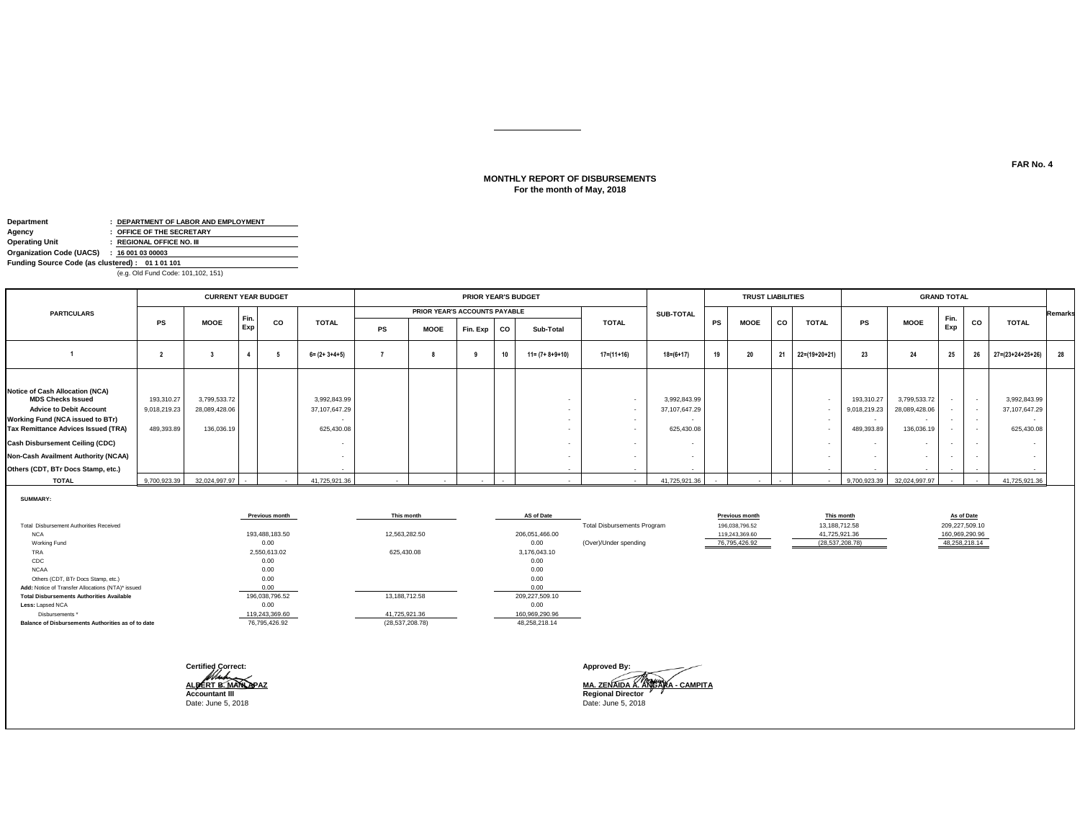# **For the month of May, 2018 MONTHLY REPORT OF DISBURSEMENTS**

| Department                                      |  | : DEPARTMENT OF LABOR AND EMPLOYMENT |  |  |  |  |  |
|-------------------------------------------------|--|--------------------------------------|--|--|--|--|--|
| Agency                                          |  | : OFFICE OF THE SECRETARY            |  |  |  |  |  |
| <b>Operating Unit</b>                           |  | : REGIONAL OFFICE NO. III            |  |  |  |  |  |
| Organization Code (UACS) : 16 001 03 00003      |  |                                      |  |  |  |  |  |
| Funding Source Code (as clustered): 01 1 01 101 |  |                                      |  |  |  |  |  |
| (e.g. Old Fund Code: 101,102, 151)              |  |                                      |  |  |  |  |  |

|                                                                                                                                                                                                                                                                                                 |                                          | <b>CURRENT YEAR BUDGET</b>                  |             |           |                                             | PRIOR YEAR'S BUDGET |                               |          |    |                         |              |                                             | <b>TRUST LIABILITIES</b> |             |    |               | <b>GRAND TOTAL</b>                       |                                                                                   |                  |                                              |                                                         |                |
|-------------------------------------------------------------------------------------------------------------------------------------------------------------------------------------------------------------------------------------------------------------------------------------------------|------------------------------------------|---------------------------------------------|-------------|-----------|---------------------------------------------|---------------------|-------------------------------|----------|----|-------------------------|--------------|---------------------------------------------|--------------------------|-------------|----|---------------|------------------------------------------|-----------------------------------------------------------------------------------|------------------|----------------------------------------------|---------------------------------------------------------|----------------|
| <b>PARTICULARS</b>                                                                                                                                                                                                                                                                              |                                          |                                             |             |           |                                             |                     | PRIOR YEAR'S ACCOUNTS PAYABLE |          |    |                         |              | <b>SUB-TOTAL</b>                            |                          |             |    |               |                                          |                                                                                   |                  |                                              |                                                         | <b>Remarks</b> |
|                                                                                                                                                                                                                                                                                                 | <b>PS</b>                                | <b>MOOE</b>                                 | Fin.<br>Exp | <b>CO</b> | <b>TOTAL</b>                                | PS                  | <b>MOOE</b>                   | Fin. Exp | co | Sub-Total               | <b>TOTAL</b> |                                             | PS                       | <b>MOOE</b> | co | <b>TOTAL</b>  | PS                                       | <b>MOOE</b>                                                                       | Fin.<br>Exp      | CO                                           | <b>TOTAL</b>                                            |                |
|                                                                                                                                                                                                                                                                                                 |                                          |                                             |             |           | $6 = (2 + 3 + 4 + 5)$                       |                     |                               |          | 10 | $11 = (7 + 8 + 9 + 10)$ | $17=(11+16)$ | $18 = (6 + 17)$                             | 19                       | 20          | 21 | 22=(19+20+21) | 23                                       | 24                                                                                | 25               | 26                                           | $27 = (23 + 24 + 25 + 26)$                              | 28             |
| Notice of Cash Allocation (NCA)<br><b>MDS Checks Issued</b><br><b>Advice to Debit Account</b><br>Working Fund (NCA issued to BTr)<br>Tax Remittance Advices Issued (TRA)<br><b>Cash Disbursement Ceiling (CDC)</b><br>Non-Cash Availment Authority (NCAA)<br>Others (CDT, BTr Docs Stamp, etc.) | 193,310.27<br>9,018,219.23<br>489,393.89 | 3,799,533.72<br>28,089,428.06<br>136,036.19 |             |           | 3,992,843.99<br>37,107,647.29<br>625,430.08 |                     |                               |          |    |                         |              | 3,992,843.99<br>37,107,647.29<br>625,430.08 |                          |             |    |               | 193,310.27<br>9,018,219.23<br>489,393.89 | 3,799,533.72<br>28,089,428.06<br>$\sim$<br>136,036.19<br>$\overline{\phantom{a}}$ | $\sim$<br>$\sim$ | $\sim$<br>$\sim$<br>$\overline{\phantom{a}}$ | 3,992,843.99<br>37, 107, 647.29<br>$\sim$<br>625,430.08 |                |
| <b>TOTAL</b>                                                                                                                                                                                                                                                                                    | 9,700,923.39                             | 32,024,997.97                               |             |           | 41.725.921.36                               |                     |                               |          |    |                         |              | 41.725.921.36                               |                          |             |    |               | 9,700,923.39                             | 32,024,997.97                                                                     |                  |                                              | 41.725.921.36                                           |                |

**SUMMARY:**

|                                                    | <b>Previous month</b> | This month        | AS of Date     |                                    | Previous month | This month        | As of Date     |
|----------------------------------------------------|-----------------------|-------------------|----------------|------------------------------------|----------------|-------------------|----------------|
| Total Disbursement Authorities Received            |                       |                   |                | <b>Total Disbursements Program</b> | 196,038,796.52 | 13,188,712.58     | 209,227,509.10 |
| <b>NCA</b>                                         | 193.488.183.50        | 12.563.282.50     | 206,051,466.00 |                                    | 119,243,369.60 | 41,725,921.36     | 160,969,290.96 |
| Working Fund                                       | 0.00                  |                   | 0.00           | (Over)/Under spending              | 76,795,426.92  | (28, 537, 208.78) | 48,258,218.14  |
| TRA                                                | 2,550,613.02          | 625,430.08        | 3,176,043.10   |                                    |                |                   |                |
| CDC                                                | 0.00                  |                   | 0.00           |                                    |                |                   |                |
| <b>NCAA</b>                                        | 0.00                  |                   | 0.00           |                                    |                |                   |                |
| Others (CDT, BTr Docs Stamp, etc.)                 | 0.00                  |                   | 0.00           |                                    |                |                   |                |
| Add: Notice of Transfer Allocations (NTA)* issued  | 0.00                  |                   |                |                                    |                |                   |                |
| <b>Total Disbursements Authorities Available</b>   | 196,038,796.52        | 13,188,712.58     | 209,227,509.10 |                                    |                |                   |                |
| Less: Lapsed NCA                                   | 0.00                  |                   | 0.00           |                                    |                |                   |                |
| Disbursements *                                    | 119,243,369.60        | 41,725,921.36     | 160,969,290.96 |                                    |                |                   |                |
| Balance of Disbursements Authorities as of to date | 76,795,426.92         | (28, 537, 208.78) | 48,258,218.14  |                                    |                |                   |                |
|                                                    |                       |                   |                |                                    |                |                   |                |
|                                                    |                       |                   |                |                                    |                |                   |                |

| <b>Certified Correct:</b> |
|---------------------------|
|                           |
| ALBERT B.M                |
| <b>Accountant III</b>     |
| Date: June 5, 2018        |

**Approved By: ALBERT B<u>. MANLAPAZ</u><br>Accountant III**<br>Date: June 5, 2018 Date: June 5, 2018 Date: June 5, 2018 Date: June 5, 2018 Date: June 5, 2018 Date: June 5, 2018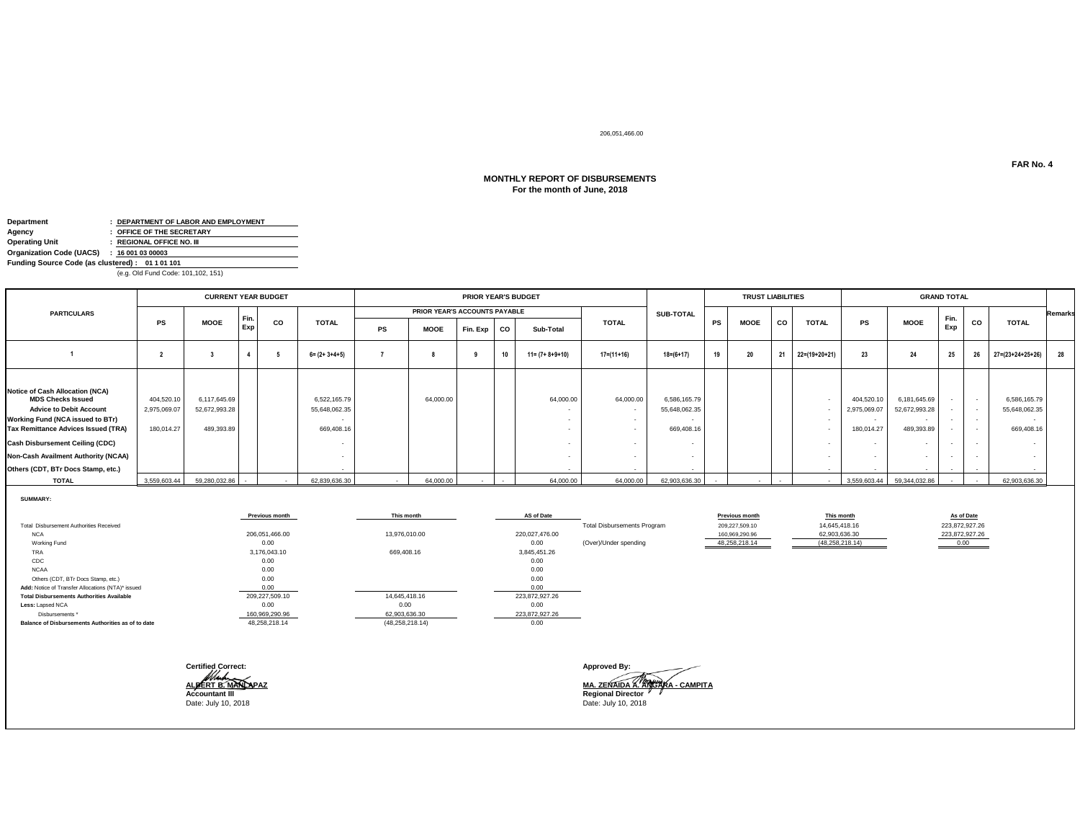206,051,466.00

### **For the month of June, 2018 MONTHLY REPORT OF DISBURSEMENTS**

| Department                                      |  | : DEPARTMENT OF LABOR AND EMPLOYMENT |  |  |  |  |
|-------------------------------------------------|--|--------------------------------------|--|--|--|--|
| Agency                                          |  | : OFFICE OF THE SECRETARY            |  |  |  |  |
| <b>Operating Unit</b>                           |  | : REGIONAL OFFICE NO. III            |  |  |  |  |
| Organization Code (UACS) : 16 001 03 00003      |  |                                      |  |  |  |  |
| Funding Source Code (as clustered): 01 1 01 101 |  |                                      |  |  |  |  |
| (e.g. Old Fund Code: 101,102, 151)              |  |                                      |  |  |  |  |

|                                                                                                                                                                                                                                                                                                 |                                         | <b>CURRENT YEAR BUDGET</b>                  |             |    |                                             | <b>PRIOR YEAR'S BUDGET</b> |                               |          |    |                         |                  |                                             |    | <b>TRUST LIABILITIES</b> |    |               |                                          | <b>GRAND TOTAL</b>                                                        |                                                                          |                  |                                                                 |                |
|-------------------------------------------------------------------------------------------------------------------------------------------------------------------------------------------------------------------------------------------------------------------------------------------------|-----------------------------------------|---------------------------------------------|-------------|----|---------------------------------------------|----------------------------|-------------------------------|----------|----|-------------------------|------------------|---------------------------------------------|----|--------------------------|----|---------------|------------------------------------------|---------------------------------------------------------------------------|--------------------------------------------------------------------------|------------------|-----------------------------------------------------------------|----------------|
| <b>PARTICULARS</b>                                                                                                                                                                                                                                                                              |                                         |                                             |             |    |                                             |                            | PRIOR YEAR'S ACCOUNTS PAYABLE |          |    |                         |                  | <b>SUB-TOTAL</b>                            |    |                          |    |               |                                          |                                                                           |                                                                          |                  |                                                                 | <b>Remarks</b> |
|                                                                                                                                                                                                                                                                                                 | PS                                      | <b>MOOE</b>                                 | Fin.<br>Exp | CO | <b>TOTAL</b>                                | PS                         | <b>MOOE</b>                   | Fin. Exp | co | Sub-Total               | <b>TOTAL</b>     |                                             | PS | <b>MOOE</b>              | CO | <b>TOTAL</b>  | PS                                       | <b>MOOE</b>                                                               | Fin.<br>Exp                                                              | CO               | <b>TOTAL</b>                                                    |                |
|                                                                                                                                                                                                                                                                                                 |                                         |                                             |             |    | $6 = (2 + 3 + 4 + 5)$                       |                            |                               |          | 10 | $11 = (7 + 8 + 9 + 10)$ | $17 = (11 + 16)$ | $18 = (6 + 17)$                             | 19 | 20                       | 21 | 22=(19+20+21) | 23                                       | 24                                                                        | 25                                                                       | 26               | $27 = (23 + 24 + 25 + 26)$                                      | 28             |
| Notice of Cash Allocation (NCA)<br><b>MDS Checks Issued</b><br><b>Advice to Debit Account</b><br>Working Fund (NCA issued to BTr)<br>Tax Remittance Advices Issued (TRA)<br><b>Cash Disbursement Ceiling (CDC)</b><br>Non-Cash Availment Authority (NCAA)<br>Others (CDT, BTr Docs Stamp, etc.) | 404,520.1<br>2,975,069.07<br>180,014.27 | 6,117,645.69<br>52,672,993.28<br>489,393.89 |             |    | 6,522,165.79<br>55,648,062.35<br>669,408.16 |                            | 64,000.00                     |          |    | 64,000.00               | 64,000.00        | 6,586,165.79<br>55,648,062.35<br>669,408.16 |    |                          |    |               | 404,520.10<br>2,975,069.07<br>180,014.27 | 6,181,645.69<br>52,672,993.28<br>$\sim$<br>489,393.89<br>$\sim$<br>$\sim$ | $\sim$<br>$\overline{\phantom{a}}$<br>$\sim$<br>$\overline{\phantom{a}}$ | $\sim$<br>$\sim$ | 6,586,165.79<br>55,648,062.35<br>$\sim$<br>669,408.16<br>$\sim$ |                |
| <b>TOTAL</b>                                                                                                                                                                                                                                                                                    | 3,559,603.44                            | 59,280,032.86                               |             |    | 62,839,636.30                               |                            | 64,000.00                     |          |    | 64,000.00               | 64,000.00        | 62,903,636.30                               |    |                          |    |               | 3,559,603.44                             | 59,344,032.86                                                             |                                                                          |                  | 62,903,636.30                                                   |                |

**SUMMARY:**

|                                                    | <b>Previous month</b> | This month         | AS of Date     |                                    | Previous month | This month        | As of Date     |
|----------------------------------------------------|-----------------------|--------------------|----------------|------------------------------------|----------------|-------------------|----------------|
| Total Disbursement Authorities Received            |                       |                    |                | <b>Total Disbursements Program</b> | 209,227,509.10 | 14,645,418.16     | 223,872,927.26 |
| <b>NCA</b>                                         | 206,051,466.00        | 13,976,010.00      | 220,027,476.00 |                                    | 160,969,290.96 | 62,903,636.30     | 223,872,927.26 |
| Working Fund                                       | 0.00                  |                    | 0.00           | (Over)/Under spending              | 48,258,218.14  | (48, 258, 218.14) | 0.00           |
| <b>TRA</b>                                         | 3,176,043.10          | 669,408.16         | 3,845,451.26   |                                    |                |                   |                |
| CDC                                                | 0.00                  |                    | 0.00           |                                    |                |                   |                |
| <b>NCAA</b>                                        | 0.00                  |                    | 0.00           |                                    |                |                   |                |
| Others (CDT, BTr Docs Stamp, etc.)                 | 0.00                  |                    | 0.00           |                                    |                |                   |                |
| Add: Notice of Transfer Allocations (NTA)* issued  | 0.00                  |                    | 0.00           |                                    |                |                   |                |
| <b>Total Disbursements Authorities Available</b>   | 209,227,509.10        | 14,645,418.16      | 223,872,927.26 |                                    |                |                   |                |
| Less: Lapsed NCA                                   | 0.00                  | 0.00               | 0.00           |                                    |                |                   |                |
| Disbursements *                                    | 160,969,290.96        | 62,903,636.30      | 223,872,927.26 |                                    |                |                   |                |
| Balance of Disbursements Authorities as of to date | 48,258,218.14         | (48, 258, 218, 14) | 0.00           |                                    |                |                   |                |
|                                                    |                       |                    |                |                                    |                |                   |                |
|                                                    |                       |                    |                |                                    |                |                   |                |
|                                                    |                       |                    |                |                                    |                |                   |                |

| <b>Certified Correct:</b> | Approved By:          |
|---------------------------|-----------------------|
| ALBERT B. MANDPAZ         | MA. ZENAIDA           |
| <b>Accountant III</b>     | <b>Regional Direc</b> |
| Date: July 10, 2018       | Date: July 10, 2      |

**ALBERT B. MANLAPAZ MA. ZENAIDA A. ANGARA - CAMPITA Accountant III Regional Director** Date: July 10, 2018 Date: July 10, 2018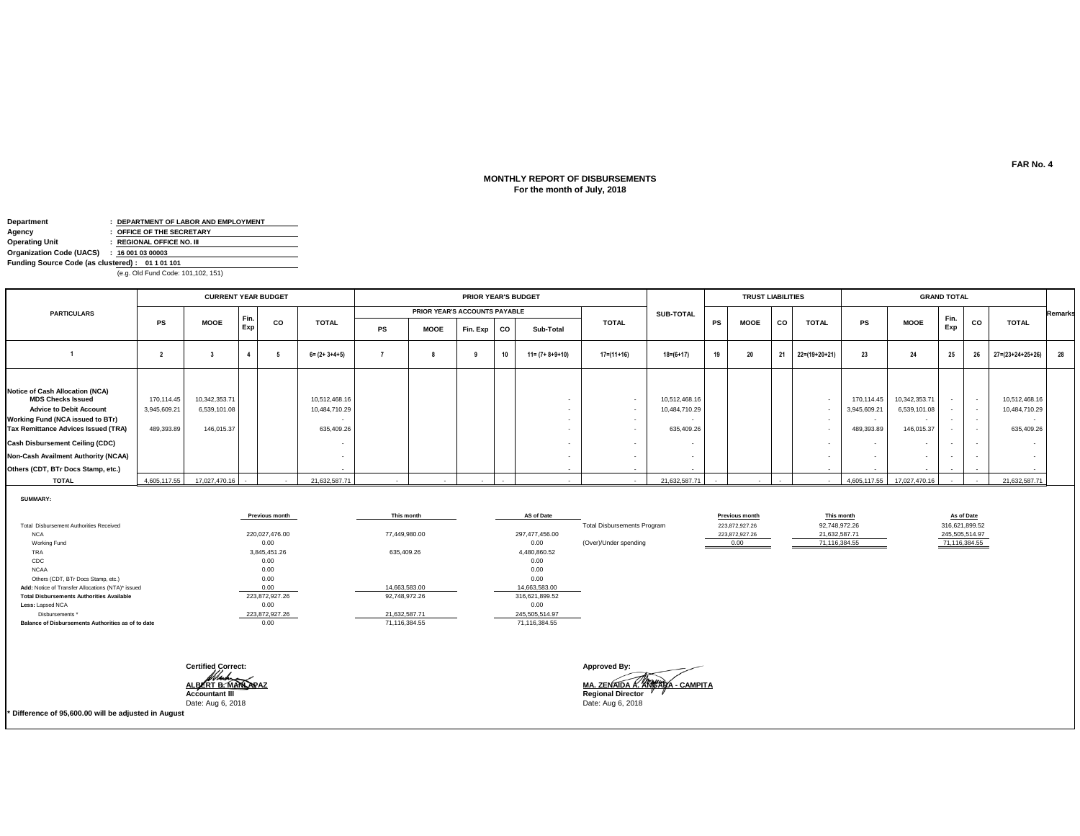# **MONTHLY REPORT OF DISBURSEMENTS For the month of July, 2018**

| Department                                      |                | : DEPARTMENT OF LABOR AND EMPLOYMENT |  |  |  |  |
|-------------------------------------------------|----------------|--------------------------------------|--|--|--|--|
| Agency                                          |                | : OFFICE OF THE SECRETARY            |  |  |  |  |
| <b>Operating Unit</b>                           |                | : REGIONAL OFFICE NO. III            |  |  |  |  |
| Organization Code (UACS)                        | : 160010300003 |                                      |  |  |  |  |
| Funding Source Code (as clustered): 01 1 01 101 |                |                                      |  |  |  |  |
| (e.g. Old Fund Code: 101,102, 151)              |                |                                      |  |  |  |  |

|                                                                                                                                                                                                                                                                                                 |                                          | <b>CURRENT YEAR BUDGET</b>                  |             |           |                                              |    |                               | <b>PRIOR YEAR'S BUDGET</b> |    |                         |                  |                                              |    | <b>TRUST LIABILITIES</b> |    |               |                                          |                                                                                   | <b>GRAND TOTAL</b> |                                                                                  |                                                                          |                |
|-------------------------------------------------------------------------------------------------------------------------------------------------------------------------------------------------------------------------------------------------------------------------------------------------|------------------------------------------|---------------------------------------------|-------------|-----------|----------------------------------------------|----|-------------------------------|----------------------------|----|-------------------------|------------------|----------------------------------------------|----|--------------------------|----|---------------|------------------------------------------|-----------------------------------------------------------------------------------|--------------------|----------------------------------------------------------------------------------|--------------------------------------------------------------------------|----------------|
| <b>PARTICULARS</b>                                                                                                                                                                                                                                                                              |                                          |                                             |             |           |                                              |    | PRIOR YEAR'S ACCOUNTS PAYABLE |                            |    |                         |                  | <b>SUB-TOTAL</b>                             |    |                          |    |               |                                          |                                                                                   |                    |                                                                                  |                                                                          | <b>Remarks</b> |
|                                                                                                                                                                                                                                                                                                 | <b>PS</b>                                | <b>MOOE</b>                                 | Fin.<br>Exp | <b>CO</b> | <b>TOTAL</b>                                 | PS | <b>MOOE</b>                   | Fin. Exp                   | co | Sub-Total               | <b>TOTAL</b>     |                                              | PS | <b>MOOE</b>              | co | <b>TOTAL</b>  | PS                                       | <b>MOOE</b>                                                                       | Fin.<br>Exp        | <b>CO</b>                                                                        | <b>TOTAL</b>                                                             |                |
|                                                                                                                                                                                                                                                                                                 |                                          |                                             |             |           | $6 = (2 + 3 + 4 + 5)$                        |    |                               |                            | 10 | $11 = (7 + 8 + 9 + 10)$ | $17 = (11 + 16)$ | $18 = (6 + 17)$                              | 19 | 20                       | 21 | 22=(19+20+21) | 23                                       | 24                                                                                | 25                 | 26                                                                               | $27 = (23 + 24 + 25 + 26)$                                               | 28             |
| Notice of Cash Allocation (NCA)<br><b>MDS Checks Issued</b><br><b>Advice to Debit Account</b><br>Working Fund (NCA issued to BTr)<br>Tax Remittance Advices Issued (TRA)<br><b>Cash Disbursement Ceiling (CDC)</b><br>Non-Cash Availment Authority (NCAA)<br>Others (CDT, BTr Docs Stamp, etc.) | 170,114.45<br>3,945,609.21<br>489,393.89 | 10,342,353.71<br>6,539,101.08<br>146,015.37 |             |           | 10,512,468.16<br>10,484,710.29<br>635,409.26 |    |                               |                            |    |                         | $\sim$           | 10,512,468.16<br>10,484,710.29<br>635,409.26 |    |                          |    | $\sim$        | 170,114.45<br>3,945,609.21<br>489,393.89 | 10,342,353.71<br>6,539,101.08<br>146,015.37<br>$\sim$<br>$\overline{\phantom{a}}$ | $\sim$<br>$\sim$   | $\overline{\phantom{a}}$<br>$\overline{\phantom{a}}$<br>$\overline{\phantom{a}}$ | 10,512,468.16<br>10,484,710.29<br>$\overline{\phantom{a}}$<br>635,409.26 |                |
| <b>TOTAL</b>                                                                                                                                                                                                                                                                                    |                                          | 4,605,117.55 17,027,470.16                  | $\sim$      | $\sim$    | 21,632,587.71                                |    |                               |                            |    |                         |                  | 21,632,587.71                                |    |                          |    | $\sim$        |                                          | 4,605,117.55 17,027,470.16                                                        |                    |                                                                                  | 21,632,587.71                                                            |                |

**SUMMARY:**

|                                                    | Previous month     | This month    | AS of Date     |                                    | <b>Previous month</b> | This month    | As of Date     |  |
|----------------------------------------------------|--------------------|---------------|----------------|------------------------------------|-----------------------|---------------|----------------|--|
| Total Disbursement Authorities Received            |                    |               |                | <b>Total Disbursements Program</b> | 223,872,927.26        | 92,748,972.26 | 316,621,899.52 |  |
| <b>NCA</b>                                         | 220,027,476.00     | 77,449,980.00 | 297,477,456.00 |                                    | 223,872,927.26        | 21,632,587.71 | 245,505,514.97 |  |
| Working Fund                                       | 0.00               |               | 0.00           | (Over)/Under spending              | 0.00                  | 71,116,384.55 | 71,116,384.55  |  |
| TRA                                                | 3,845,451.26       | 635,409.26    | 4,480,860.52   |                                    |                       |               |                |  |
| CDC                                                | 0.00               |               | 0.00           |                                    |                       |               |                |  |
| <b>NCAA</b>                                        | 0.00               |               | 0.00           |                                    |                       |               |                |  |
| Others (CDT, BTr Docs Stamp, etc.)                 | 0.00               |               | 0.00           |                                    |                       |               |                |  |
| Add: Notice of Transfer Allocations (NTA)* issued  | 0.00               | 14,663,583.00 | 14,663,583.00  |                                    |                       |               |                |  |
| <b>Total Disbursements Authorities Available</b>   | 223,872,927.26     | 92,748,972.26 | 316,621,899.52 |                                    |                       |               |                |  |
| Less: Lapsed NCA                                   | 0.00               |               | 0.00           |                                    |                       |               |                |  |
| Disbursements *                                    | 223,872,927.26     | 21,632,587.71 | 245,505,514.97 |                                    |                       |               |                |  |
| Balance of Disbursements Authorities as of to date | 0.00               | 71,116,384.55 | 71,116,384.55  |                                    |                       |               |                |  |
|                                                    |                    |               |                |                                    |                       |               |                |  |
|                                                    |                    |               |                |                                    |                       |               |                |  |
|                                                    |                    |               |                | <b>Approved By:</b>                |                       |               |                |  |
|                                                    | Certified Correct: |               |                | $\overline{\phantom{a}}$           |                       |               |                |  |

**ALBERT B. MANLAPAZ MA. ZENAIDA A. ANGARA - CAMPITA Accountant III Regional Director** Date: Aug 6, 2018 Date: Aug 6, 2018

**\* Difference of 95,600.00 will be adjusted in August**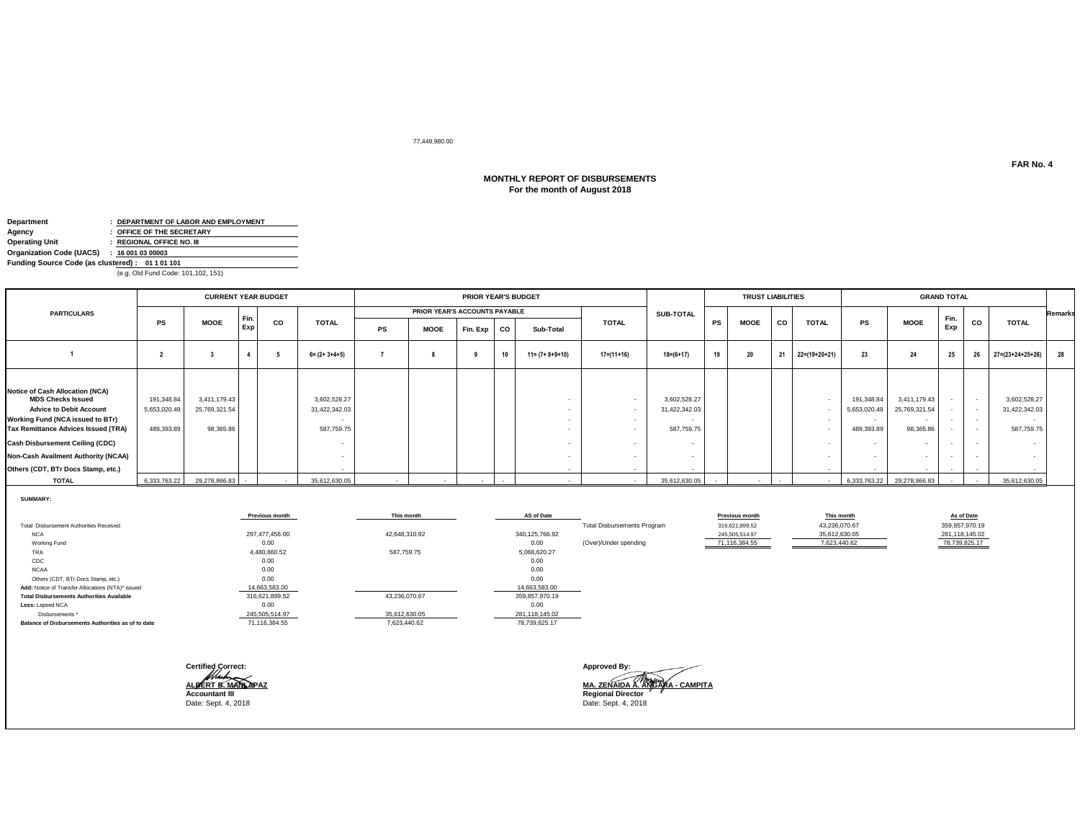# 77,449,980.00

# **MONTHLY REPORT OF DISBURSEMENTS For the month of August 2018**

| Department                                      | : DEPARTMENT OF LABOR AND EMPLOYMENT |
|-------------------------------------------------|--------------------------------------|
| Agency                                          | : OFFICE OF THE SECRETARY            |
| <b>Operating Unit</b>                           | : REGIONAL OFFICE NO. III            |
| Organization Code (UACS)                        | : 160010300003                       |
| Funding Source Code (as clustered): 01 1 01 101 |                                      |
|                                                 | (e.g. Old Fund Code: 101,102, 151)   |

|                                                                                                                                                                                                                                                                                                               |                                          | <b>CURRENT YEAR BUDGET</b>                 |             |    |                                             |    |                               | <b>PRIOR YEAR'S BUDGET</b> |    |                         |              |                                                       |           | <b>TRUST LIABILITIES</b> |    |               |                                          |                                                                     | <b>GRAND TOTAL</b>       |                                      |                                                       |                |
|---------------------------------------------------------------------------------------------------------------------------------------------------------------------------------------------------------------------------------------------------------------------------------------------------------------|------------------------------------------|--------------------------------------------|-------------|----|---------------------------------------------|----|-------------------------------|----------------------------|----|-------------------------|--------------|-------------------------------------------------------|-----------|--------------------------|----|---------------|------------------------------------------|---------------------------------------------------------------------|--------------------------|--------------------------------------|-------------------------------------------------------|----------------|
| <b>PARTICULARS</b>                                                                                                                                                                                                                                                                                            |                                          |                                            |             |    |                                             |    | PRIOR YEAR'S ACCOUNTS PAYABLE |                            |    |                         |              | <b>SUB-TOTAL</b>                                      |           |                          |    |               |                                          |                                                                     |                          |                                      |                                                       | <b>Remarks</b> |
|                                                                                                                                                                                                                                                                                                               | PS                                       | <b>MOOE</b>                                | Fin.<br>Exp | CO | <b>TOTAL</b>                                | PS | <b>MOOE</b>                   | Fin. Exp                   | co | Sub-Total               | <b>TOTAL</b> |                                                       | <b>PS</b> | <b>MOOE</b>              | co | <b>TOTAL</b>  | PS                                       | <b>MOOE</b>                                                         | Fin.<br>Exp              | co                                   | <b>TOTAL</b>                                          |                |
|                                                                                                                                                                                                                                                                                                               |                                          |                                            |             |    | $6 = (2 + 3 + 4 + 5)$                       |    |                               |                            | 10 | $11 = (7 + 8 + 9 + 10)$ | $17=(11+16)$ | $18 = (6 + 17)$                                       | 19        | 20                       | 21 | 22=(19+20+21) | 23                                       | 24                                                                  | 25                       | 26                                   | $27 = (23 + 24 + 25 + 26)$                            | 28             |
| <b>Notice of Cash Allocation (NCA)</b><br><b>MDS Checks Issued</b><br><b>Advice to Debit Account</b><br><b>Working Fund (NCA issued to BTr)</b><br>Tax Remittance Advices Issued (TRA)<br><b>Cash Disbursement Ceiling (CDC)</b><br>Non-Cash Availment Authority (NCAA)<br>Others (CDT, BTr Docs Stamp, etc.) | 191,348.84<br>5,653,020.49<br>489,393.89 | 3,411,179.43<br>25,769,321.54<br>98,365.86 |             |    | 3,602,528.27<br>31,422,342.03<br>587,759.75 |    |                               |                            |    |                         | $\sim$       | 3,602,528.27<br>31,422,342.03<br>587,759.75<br>$\sim$ |           |                          |    |               | 191,348.84<br>5,653,020.49<br>489,393.89 | 3,411,179.43<br>25,769,321.54<br>$\sim$<br>98,365.86<br>$\sim$<br>۰ | $\overline{\phantom{a}}$ | $\sim$ 100 $\mu$<br>$\sim$<br>$\sim$ | 3,602,528.27<br>31,422,342.03<br>$\sim$<br>587,759.75 |                |
| <b>TOTAL</b>                                                                                                                                                                                                                                                                                                  | 6,333,763.22                             | 29,278,866.83                              | $\sim$      |    | 35,612,630.05                               |    |                               |                            |    |                         |              | 35.612.630.05                                         |           |                          |    |               |                                          | 6,333,763.22 29,278,866.83                                          |                          |                                      | 35,612,630.05                                         |                |

**SUMMARY:**

|                                                    | <b>Previous month</b> | This month    | AS of Date       |                                    | <b>Previous month</b> | This month    | As of Date     |
|----------------------------------------------------|-----------------------|---------------|------------------|------------------------------------|-----------------------|---------------|----------------|
| Total Disbursement Authorities Received            |                       |               |                  | <b>Total Disbursements Program</b> | 316,621,899.52        | 43,236,070.67 | 359,857,970.19 |
| <b>NCA</b>                                         | 297.477.456.00        | 42,648,310.92 | 340, 125, 766.92 |                                    | 245.505.514.97        | 35.612.630.05 | 281,118,145.02 |
| Working Fund                                       | 0.00                  |               | 0.00             | (Over)/Under spending              | 71,116,384.55         | 7,623,440.62  | 78,739,825.17  |
| TRA                                                | 4,480,860.52          | 587,759.75    | 5,068,620.27     |                                    |                       |               |                |
| CDC                                                | 0.00                  |               | 0.00             |                                    |                       |               |                |
| <b>NCAA</b>                                        | 0.00                  |               | 0.00             |                                    |                       |               |                |
| Others (CDT, BTr Docs Stamp, etc.)                 | 0.00                  |               | 0.00             |                                    |                       |               |                |
| Add: Notice of Transfer Allocations (NTA)* issued  | 14,663,583.00         |               | 14,663,583.00    |                                    |                       |               |                |
| <b>Total Disbursements Authorities Available</b>   | 316,621,899.52        | 43,236,070.67 | 359,857,970.19   |                                    |                       |               |                |
| Less: Lapsed NCA                                   | 0.00                  |               | 0.00             |                                    |                       |               |                |
| Disbursements *                                    | 245,505,514.97        | 35,612,630.05 | 281,118,145.02   |                                    |                       |               |                |
| Balance of Disbursements Authorities as of to date | 71,116,384.55         | 7,623,440.62  | 78,739,825.17    |                                    |                       |               |                |
|                                                    |                       |               |                  |                                    |                       |               |                |
|                                                    |                       |               |                  |                                    |                       |               |                |

| <b>Certified Correct:</b> |
|---------------------------|
| ALBERT B.M<br>NPA7        |
|                           |
| <b>Accountant III</b>     |
| Date: Sept. 4, 2018       |

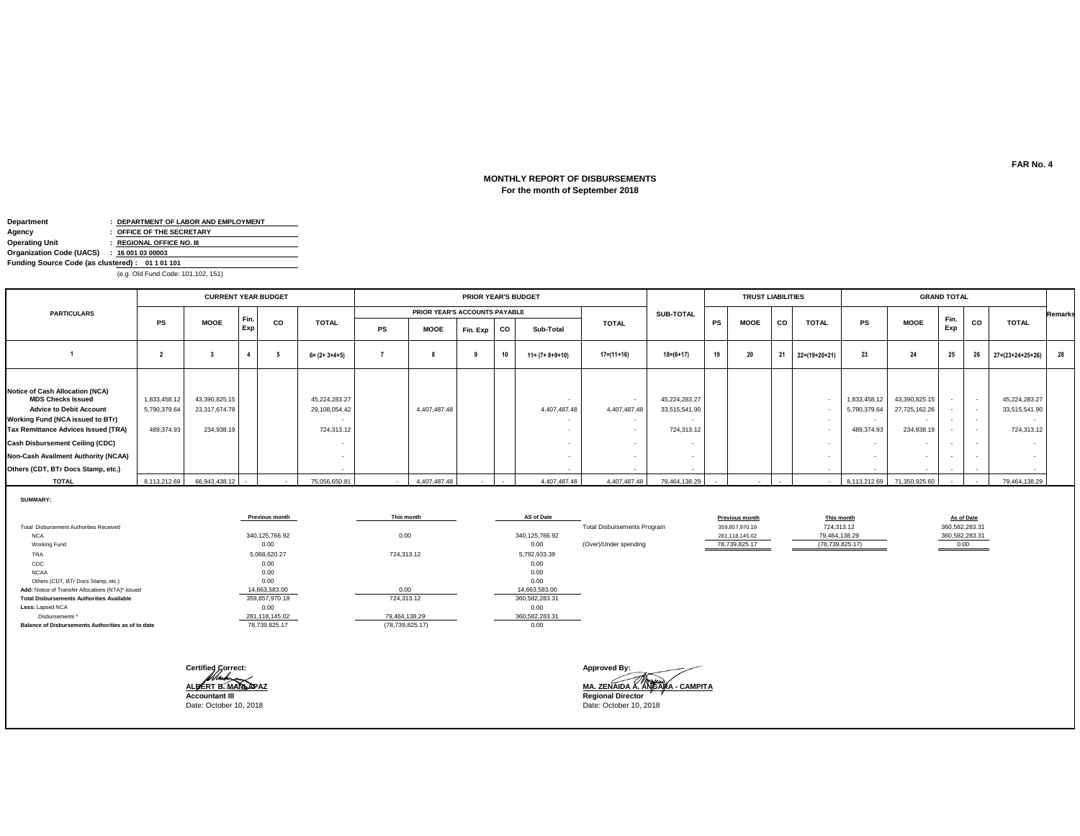### **MONTHLY REPORT OF DISBURSEMENTS For the month of September 2018**

| Department                                      | : DEPARTMENT OF LABOR AND EMPLOYMENT |
|-------------------------------------------------|--------------------------------------|
| Agency                                          | : OFFICE OF THE SECRETARY            |
| <b>Operating Unit</b>                           | : REGIONAL OFFICE NO. III            |
| Organization Code (UACS)                        | : 160010300003                       |
| Funding Source Code (as clustered): 01 1 01 101 |                                      |
|                                                 | (e.g. Old Fund Code: 101,102, 151)   |

|                                                                                                                                                                                                                                                                                                                      |                                            | <b>CURRENT YEAR BUDGET</b>                   |             |           |                                              |    |                               | <b>PRIOR YEAR'S BUDGET</b> |                |                         |                  |                                              |           | <b>TRUST LIABILITIES</b> |    |                          |                                            |                                                                  | <b>GRAND TOTAL</b> |                                                                       |                                                                                    |                |
|----------------------------------------------------------------------------------------------------------------------------------------------------------------------------------------------------------------------------------------------------------------------------------------------------------------------|--------------------------------------------|----------------------------------------------|-------------|-----------|----------------------------------------------|----|-------------------------------|----------------------------|----------------|-------------------------|------------------|----------------------------------------------|-----------|--------------------------|----|--------------------------|--------------------------------------------|------------------------------------------------------------------|--------------------|-----------------------------------------------------------------------|------------------------------------------------------------------------------------|----------------|
| <b>PARTICULARS</b>                                                                                                                                                                                                                                                                                                   |                                            |                                              |             |           |                                              |    | PRIOR YEAR'S ACCOUNTS PAYABLE |                            |                |                         |                  | <b>SUB-TOTAL</b>                             |           |                          |    |                          |                                            |                                                                  |                    |                                                                       |                                                                                    | <b>Remarks</b> |
|                                                                                                                                                                                                                                                                                                                      | PS                                         | <b>MOOE</b>                                  | Fin.<br>Exp | <b>CO</b> | <b>TOTAL</b>                                 | PS | <b>MOOE</b>                   | Fin. Exp                   | , co           | Sub-Total               | <b>TOTAL</b>     |                                              | <b>PS</b> | <b>MOOE</b>              | co | <b>TOTAL</b>             | PS                                         | <b>MOOE</b>                                                      | Fin.<br>Exp        | <b>CO</b>                                                             | <b>TOTAL</b>                                                                       |                |
|                                                                                                                                                                                                                                                                                                                      |                                            |                                              |             |           | $6 = (2 + 3 + 4 + 5)$                        |    |                               |                            | $\overline{A}$ | $11 = (7 + 8 + 9 + 10)$ | $17 = (11 + 16)$ | $18=(6+17)$                                  | 19        | 20                       | 21 | 22=(19+20+21)            | 23                                         | 24                                                               | 25                 | 26                                                                    | 27=(23+24+25+26)                                                                   | 28             |
| <b>Notice of Cash Allocation (NCA)</b><br><b>MDS Checks Issued</b><br><b>Advice to Debit Account</b><br><b>Working Fund (NCA issued to BTr)</b><br><b>Tax Remittance Advices Issued (TRA)</b><br><b>Cash Disbursement Ceiling (CDC)</b><br>Non-Cash Availment Authority (NCAA)<br>Others (CDT, BTr Docs Stamp, etc.) | 1,833,458.12<br>5,790,379.64<br>489,374.93 | 43,390,825.15<br>23,317,674.78<br>234,938.19 |             |           | 45,224,283.27<br>29,108,054.42<br>724,313.12 |    | 4,407,487.48                  |                            |                | 4,407,487.48            | 4,407,487.48     | 45,224,283.27<br>33,515,541.90<br>724,313.12 |           |                          |    |                          | 1,833,458.12<br>5,790,379.64<br>489,374.93 | 43,390,825.15<br>27,725,162.26<br>$\sim$<br>234,938.19<br>$\sim$ |                    | . .<br>$\sim$<br>$\overline{\phantom{a}}$<br>$\overline{\phantom{a}}$ | 45,224,283.27<br>33,515,541.90<br>$\sim$<br>724,313.12<br>$\overline{\phantom{a}}$ |                |
| <b>TOTAL</b>                                                                                                                                                                                                                                                                                                         | 8,113,212.69                               | 66,943,438.12                                |             |           | 75,056,650.81                                |    | 4,407,487.48                  |                            |                | 4,407,487.48            | 4,407,487.48     | 79,464,138.29                                |           |                          |    | $\overline{\phantom{a}}$ | 8,113,212.69                               | 71,350,925.60                                                    |                    |                                                                       | 79,464,138.29                                                                      |                |

**SUMMARY:**

|                                                    | Previous month | This month        | AS of Date       |                                    | <b>Previous month</b> | This month        | As of Date     |
|----------------------------------------------------|----------------|-------------------|------------------|------------------------------------|-----------------------|-------------------|----------------|
| Total Disbursement Authorities Received            |                |                   |                  | <b>Total Disbursements Program</b> | 359,857,970.19        | 724,313.12        | 360,582,283.31 |
| <b>NCA</b>                                         | 340,125,766.92 | 0.00              | 340, 125, 766.92 |                                    | 281,118,145.02        | 79,464,138.29     | 360,582,283.31 |
| Working Fund                                       | 0.00           |                   | 0.00             | (Over)/Under spending              | 78,739,825.17         | (78, 739, 825.17) | 0.00           |
| TRA                                                | 5,068,620.27   | 724,313.12        | 5,792,933.39     |                                    |                       |                   |                |
| CDC                                                | 0.00           |                   | 0.00             |                                    |                       |                   |                |
| <b>NCAA</b>                                        | 0.00           |                   | 0.00             |                                    |                       |                   |                |
| Others (CDT, BTr Docs Stamp, etc.)                 | 0.00           |                   | 0.00             |                                    |                       |                   |                |
| Add: Notice of Transfer Allocations (NTA)* issued  | 14,663,583.00  | 0.00              | 14,663,583.00    |                                    |                       |                   |                |
| <b>Total Disbursements Authorities Available</b>   | 359,857,970.19 | 724,313.12        | 360,582,283.31   |                                    |                       |                   |                |
| Less: Lapsed NCA                                   | 0.00           |                   | 0.00             |                                    |                       |                   |                |
| Disbursements *                                    | 281,118,145.02 | 79,464,138.29     | 360,582,283.31   |                                    |                       |                   |                |
| Balance of Disbursements Authorities as of to date | 78,739,825.17  | (78, 739, 825.17) | 0.00             |                                    |                       |                   |                |
|                                                    |                |                   |                  |                                    |                       |                   |                |
|                                                    |                |                   |                  |                                    |                       |                   |                |
|                                                    |                |                   |                  |                                    |                       |                   |                |
|                                                    |                |                   |                  |                                    |                       |                   |                |

**Certified Correct: Approved By: ALBERT B. MANLAPAZ MA. ZENAIDA A. ANGARA - CAMPITA Accountant III Regional Director** Date: October 10, 2018 Date: October 10, 2018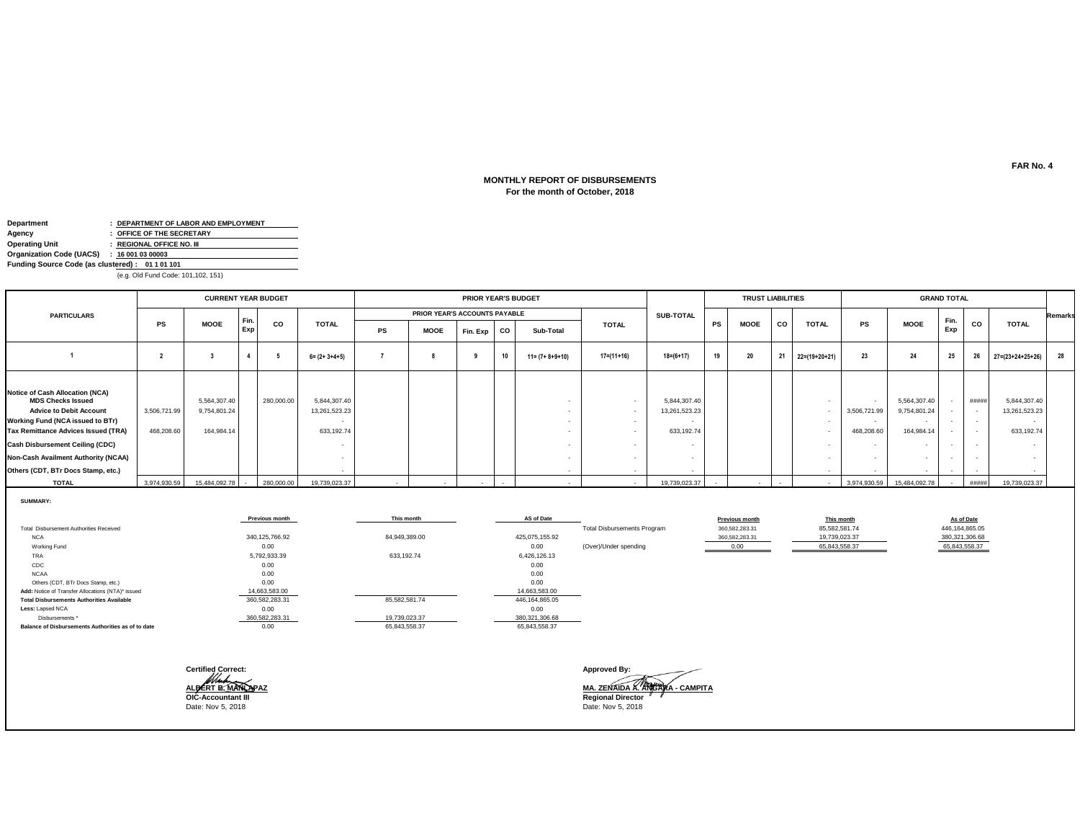### **For the month of October, 2018 MONTHLY REPORT OF DISBURSEMENTS**

| Department                                      | : DEPARTMENT OF LABOR AND EMPLOYMENT |
|-------------------------------------------------|--------------------------------------|
| Agency                                          | : OFFICE OF THE SECRETARY            |
| <b>Operating Unit</b>                           | : REGIONAL OFFICE NO. III            |
| Organization Code (UACS)                        | : 160010300003                       |
| Funding Source Code (as clustered): 01 1 01 101 |                                      |
|                                                 |                                      |

(e.g. Old Fund Code: 101,102, 151)

|                                                                                                                                                                                                                                                                                                               |                            | <b>CURRENT YEAR BUDGET</b>                 |             |            |                                             |    |                               | <b>PRIOR YEAR'S BUDGET</b> |           |                         |                  |                                             |           | <b>TRUST LIABILITIES</b> |    |                            |                            |                                                                                  | <b>GRAND TOTAL</b>                                               |                           |                                             |         |
|---------------------------------------------------------------------------------------------------------------------------------------------------------------------------------------------------------------------------------------------------------------------------------------------------------------|----------------------------|--------------------------------------------|-------------|------------|---------------------------------------------|----|-------------------------------|----------------------------|-----------|-------------------------|------------------|---------------------------------------------|-----------|--------------------------|----|----------------------------|----------------------------|----------------------------------------------------------------------------------|------------------------------------------------------------------|---------------------------|---------------------------------------------|---------|
| <b>PARTICULARS</b>                                                                                                                                                                                                                                                                                            |                            |                                            |             |            |                                             |    | PRIOR YEAR'S ACCOUNTS PAYABLE |                            |           |                         |                  | <b>SUB-TOTAL</b>                            |           |                          |    |                            |                            |                                                                                  |                                                                  |                           |                                             | Remarks |
|                                                                                                                                                                                                                                                                                                               | <b>PS</b>                  | <b>MOOE</b>                                | Fin.<br>Exp | CO         | <b>TOTAL</b>                                | PS | <b>MOOE</b>                   | Fin. Exp                   | <b>CO</b> | Sub-Total               | <b>TOTAL</b>     |                                             | <b>PS</b> | <b>MOOE</b>              | co | <b>TOTAL</b>               | PS                         | <b>MOOE</b>                                                                      | Fin.<br>Exp                                                      | CO                        | <b>TOTAL</b>                                |         |
|                                                                                                                                                                                                                                                                                                               |                            |                                            |             |            | $6 = (2 + 3 + 4 + 5)$                       |    |                               |                            | 10        | $11 = (7 + 8 + 9 + 10)$ | $17 = (11 + 16)$ | $18 = (6 + 17)$                             | 19        | 20                       | 21 | $22=(19+20+21)$            | 23                         | 24                                                                               | 25                                                               | 26                        | $27 = (23 + 24 + 25 + 26)$                  | 28      |
| <b>Notice of Cash Allocation (NCA)</b><br><b>MDS Checks Issued</b><br><b>Advice to Debit Account</b><br>Working Fund (NCA issued to BTr)<br><b>Tax Remittance Advices Issued (TRA)</b><br><b>Cash Disbursement Ceiling (CDC)</b><br>Non-Cash Availment Authority (NCAA)<br>Others (CDT, BTr Docs Stamp, etc.) | 3,506,721.99<br>468,208.60 | 5,564,307.40<br>9,754,801.24<br>164,984.14 |             | 280,000.00 | 5,844,307.40<br>13,261,523.23<br>633,192.74 |    |                               |                            |           |                         |                  | 5,844,307.40<br>13,261,523.23<br>633,192.74 |           |                          |    | $\sim$<br>$\sim$<br>$\sim$ | 3,506,721.99<br>468,208.60 | 5,564,307.40<br>9,754,801.24<br>164,984.14<br>$\overline{\phantom{a}}$<br>$\sim$ | $\sim$<br>$\sim$<br>$\overline{\phantom{a}}$<br>$\sim$<br>$\sim$ | #####<br>$\sim$<br>$\sim$ | 5,844,307.40<br>13,261,523.23<br>633,192.74 |         |
| <b>TOTAL</b>                                                                                                                                                                                                                                                                                                  | 3,974,930.59               | 15,484,092.78                              |             | 280,000.00 | 19,739,023.37                               |    |                               |                            |           |                         |                  | 19,739,023.37                               |           |                          |    |                            | 3,974,930.59               | 15,484,092.78                                                                    |                                                                  | #####                     | 19,739,023.37                               |         |

**SUMMARY:**

|                                                    | <b>Previous month</b> | This month    | AS of Date       |                                    | Previous month | This month    | As of Date       |
|----------------------------------------------------|-----------------------|---------------|------------------|------------------------------------|----------------|---------------|------------------|
| <b>Total Disbursement Authorities Received</b>     |                       |               |                  | <b>Total Disbursements Program</b> | 360,582,283.31 | 85,582,581.74 | 446, 164, 865.05 |
| <b>NCA</b>                                         | 340,125,766.92        | 84,949,389.00 | 425,075,155.92   |                                    | 360,582,283.31 | 19,739,023.37 | 380, 321, 306.68 |
| Working Fund                                       | 0.00                  |               | 0.00             | (Over)/Under spending              | 0.00           | 65,843,558.37 | 65,843,558.37    |
| TRA                                                | 5,792,933.39          | 633,192.74    | 6,426,126.13     |                                    |                |               |                  |
| CDC                                                | 0.00                  |               | 0.00             |                                    |                |               |                  |
| <b>NCAA</b>                                        | 0.00                  |               | 0.00             |                                    |                |               |                  |
| Others (CDT, BTr Docs Stamp, etc.)                 | 0.00                  |               | 0.00             |                                    |                |               |                  |
| Add: Notice of Transfer Allocations (NTA)* issued  | 14,663,583.00         |               | 14,663,583.00    |                                    |                |               |                  |
| <b>Total Disbursements Authorities Available</b>   | 360,582,283.31        | 85,582,581.74 | 446, 164, 865.05 |                                    |                |               |                  |
| Less: Lapsed NCA                                   | 0.00                  |               | 0.00             |                                    |                |               |                  |
| Disbursements *                                    | 360,582,283.31        | 19,739,023.37 | 380,321,306.68   |                                    |                |               |                  |
| Balance of Disbursements Authorities as of to date | 0.00                  | 65,843,558.37 | 65,843,558.37    |                                    |                |               |                  |
|                                                    |                       |               |                  |                                    |                |               |                  |
|                                                    |                       |               |                  |                                    |                |               |                  |
|                                                    |                       |               |                  |                                    |                |               |                  |

**Certified Correct: Approved By: OIC-Accountant III Regional Director** Date: Nov 5, 2018 Date: Nov 5, 2018

**MA. ZENAIDA A. ANGARA - CAMPITA**<br>Regional Director<br>Date: Nov 5, 2018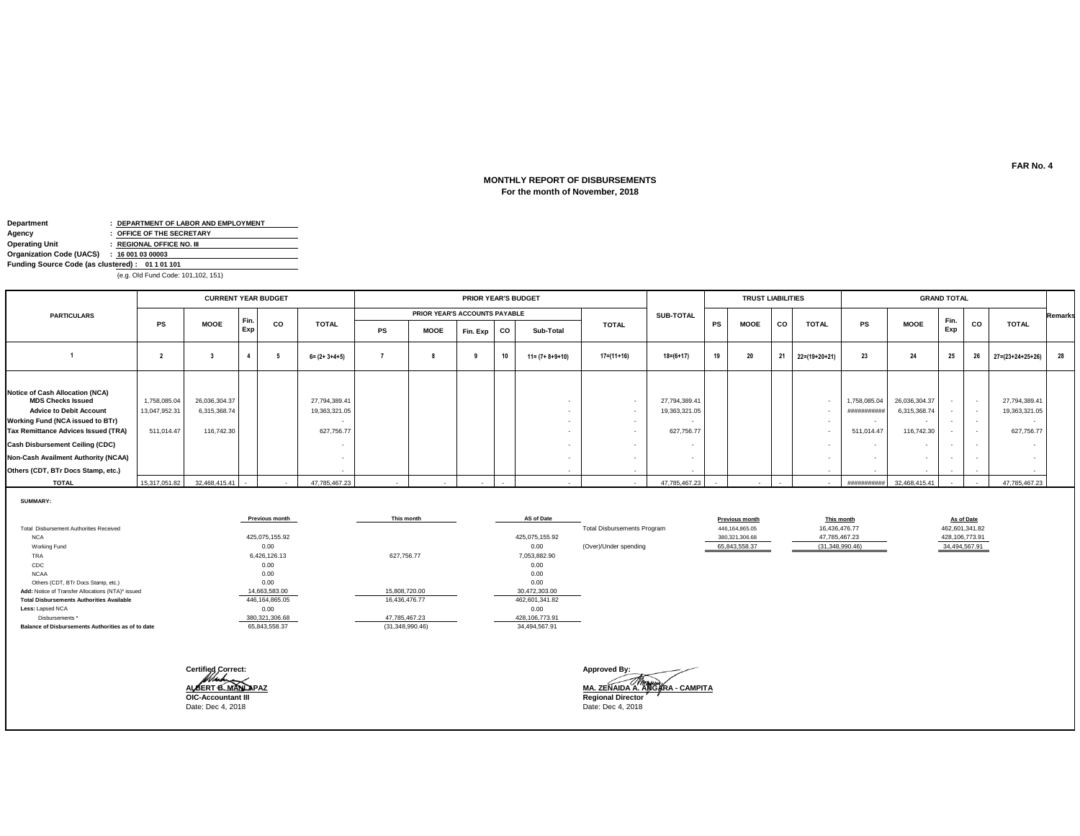### **For the month of November, 2018 MONTHLY REPORT OF DISBURSEMENTS**

| Department                                      |  | : DEPARTMENT OF LABOR AND EMPLOYMENT |  |  |  |  |  |  |  |  |
|-------------------------------------------------|--|--------------------------------------|--|--|--|--|--|--|--|--|
| Agency                                          |  | : OFFICE OF THE SECRETARY            |  |  |  |  |  |  |  |  |
| <b>Operating Unit</b>                           |  | : REGIONAL OFFICE NO. III            |  |  |  |  |  |  |  |  |
| Organization Code (UACS) : 16 001 03 00003      |  |                                      |  |  |  |  |  |  |  |  |
| Funding Source Code (as clustered): 01 1 01 101 |  |                                      |  |  |  |  |  |  |  |  |
|                                                 |  |                                      |  |  |  |  |  |  |  |  |

(e.g. Old Fund Code: 101,102, 151)

|                                                                                                                                                                                                                    |                                             | <b>CURRENT YEAR BUDGET</b>                  |     |      |                                              | PRIOR YEAR'S BUDGET |                               |             |          |                         |              |                                              | <b>TRUST LIABILITIES</b> |    |             |               | <b>GRAND TOTAL</b>                       |                                                                                                     |                                    |                                                      |                                                                                    |                |  |
|--------------------------------------------------------------------------------------------------------------------------------------------------------------------------------------------------------------------|---------------------------------------------|---------------------------------------------|-----|------|----------------------------------------------|---------------------|-------------------------------|-------------|----------|-------------------------|--------------|----------------------------------------------|--------------------------|----|-------------|---------------|------------------------------------------|-----------------------------------------------------------------------------------------------------|------------------------------------|------------------------------------------------------|------------------------------------------------------------------------------------|----------------|--|
| <b>PARTICULARS</b>                                                                                                                                                                                                 |                                             |                                             |     |      |                                              |                     | PRIOR YEAR'S ACCOUNTS PAYABLE |             |          |                         |              | <b>SUB-TOTAL</b>                             |                          |    |             |               |                                          |                                                                                                     |                                    |                                                      |                                                                                    | <b>Remarks</b> |  |
|                                                                                                                                                                                                                    | <b>PS</b>                                   | <b>MOOE</b>                                 | Exp | Fin. | <b>CO</b>                                    | <b>TOTAL</b>        | PS                            | <b>MOOE</b> | Fin. Exp | co                      | Sub-Total    | <b>TOTAL</b>                                 |                          | PS | <b>MOOE</b> | co            | <b>TOTAL</b>                             | PS                                                                                                  | <b>MOOE</b>                        | Fin.<br>Exp                                          | <b>CO</b>                                                                          | <b>TOTAL</b>   |  |
|                                                                                                                                                                                                                    |                                             |                                             |     |      | $6 = (2 + 3 + 4 + 5)$                        |                     |                               |             | 10       | $11 = (7 + 8 + 9 + 10)$ | $17=(11+16)$ | $18 = (6 + 17)$                              | 19                       | 20 | 21          | 22=(19+20+21) | 23                                       | 24                                                                                                  | 25                                 | 26                                                   | 27=(23+24+25+26)                                                                   | 28             |  |
| Notice of Cash Allocation (NCA)<br><b>MDS Checks Issued</b><br><b>Advice to Debit Account</b><br>Working Fund (NCA issued to BTr)<br>Tax Remittance Advices Issued (TRA)<br><b>Cash Disbursement Ceiling (CDC)</b> | 1,758,085.04<br>13,047,952.31<br>511,014.47 | 26,036,304.37<br>6,315,368.74<br>116,742.30 |     |      | 27,794,389.41<br>19,363,321.05<br>627,756.77 |                     |                               |             |          |                         | $\sim$       | 27,794,389.41<br>19,363,321.05<br>627,756.77 |                          |    |             |               | 1,758,085.04<br>##########<br>511,014.47 | 26,036,304.37<br>6,315,368.74<br>$\overline{\phantom{a}}$<br>116,742.30<br>$\overline{\phantom{a}}$ | $\sim$<br>$\sim$                   | $\overline{\phantom{a}}$<br>$\overline{\phantom{a}}$ | 27,794,389.41<br>19,363,321.05<br>$\overline{\phantom{a}}$<br>627,756.77<br>$\sim$ |                |  |
| Non-Cash Availment Authority (NCAA)<br>Others (CDT, BTr Docs Stamp, etc.)                                                                                                                                          |                                             |                                             |     |      |                                              |                     |                               |             |          |                         | $\sim$       |                                              |                          |    |             |               | $\sim$                                   | $\sim$                                                                                              | $\sim$<br>$\overline{\phantom{a}}$ |                                                      |                                                                                    |                |  |
| <b>TOTAL</b>                                                                                                                                                                                                       | 15,317,051.82                               | 32,468,415.41                               |     |      | 47,785,467.23                                |                     |                               | $\sim$      |          |                         |              | 47,785,467.23                                |                          |    |             |               | ###########                              | 32,468,415.41                                                                                       |                                    |                                                      | 47,785,467.23                                                                      |                |  |

**SUMMARY:**

|                                                    | <b>Previous month</b> | This month      | AS of Date       |                                    | <b>Previous month</b> | This month      | As of Date     |
|----------------------------------------------------|-----------------------|-----------------|------------------|------------------------------------|-----------------------|-----------------|----------------|
| Total Disbursement Authorities Received            |                       |                 |                  | <b>Total Disbursements Program</b> | 446,164,865.05        | 16,436,476.77   | 462,601,341.82 |
| <b>NCA</b>                                         | 425,075,155.92        |                 | 425,075,155.92   |                                    | 380,321,306.68        | 47,785,467.23   | 428,106,773.91 |
| Working Fund                                       | 0.00                  |                 | 0.00             | (Over)/Under spending              | 65,843,558.37         | (31,348,990.46) | 34,494,567.91  |
| TRA                                                | 6,426,126.13          | 627,756.77      | 7,053,882.90     |                                    |                       |                 |                |
| CDC                                                | 0.00                  |                 | 0.00             |                                    |                       |                 |                |
| <b>NCAA</b>                                        | 0.00                  |                 | 0.00             |                                    |                       |                 |                |
| Others (CDT, BTr Docs Stamp, etc.)                 | 0.00                  |                 | 0.00             |                                    |                       |                 |                |
| Add: Notice of Transfer Allocations (NTA)* issued  | 14,663,583.00         | 15,808,720.00   | 30,472,303.00    |                                    |                       |                 |                |
| <b>Total Disbursements Authorities Available</b>   | 446,164,865.05        | 16,436,476.77   | 462,601,341.82   |                                    |                       |                 |                |
| Less: Lapsed NCA                                   | 0.00                  |                 | 0.00             |                                    |                       |                 |                |
| Disbursements *                                    | 380,321,306.68        | 47,785,467.23   | 428, 106, 773.91 |                                    |                       |                 |                |
| Balance of Disbursements Authorities as of to date | 65,843,558.37         | (31,348,990.46) | 34,494,567.91    |                                    |                       |                 |                |
|                                                    |                       |                 |                  |                                    |                       |                 |                |
|                                                    |                       |                 |                  |                                    |                       |                 |                |
|                                                    |                       |                 |                  |                                    |                       |                 |                |